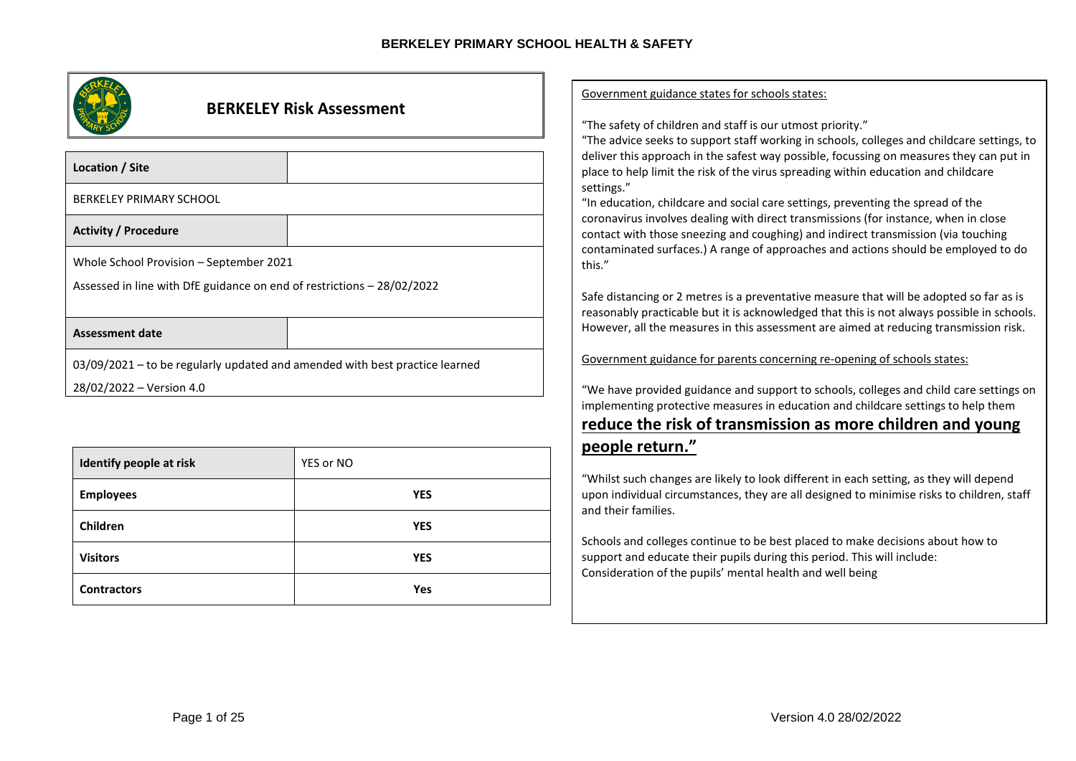| <b>BERKELEY Risk Assessment</b>                                             | Government guidance states for schools states:                                                                                                                                                                                                                 |
|-----------------------------------------------------------------------------|----------------------------------------------------------------------------------------------------------------------------------------------------------------------------------------------------------------------------------------------------------------|
|                                                                             | "The safety of children and staff is our utmost priority."                                                                                                                                                                                                     |
|                                                                             | "The advice seeks to support staff working in schools, colleges and childcare settings, to                                                                                                                                                                     |
| Location / Site                                                             | deliver this approach in the safest way possible, focussing on measures they can put in<br>place to help limit the risk of the virus spreading within education and childcare                                                                                  |
| BERKELEY PRIMARY SCHOOL                                                     | settings."<br>"In education, childcare and social care settings, preventing the spread of the                                                                                                                                                                  |
| <b>Activity / Procedure</b>                                                 | coronavirus involves dealing with direct transmissions (for instance, when in close<br>contact with those sneezing and coughing) and indirect transmission (via touching<br>contaminated surfaces.) A range of approaches and actions should be employed to do |
| Whole School Provision - September 2021                                     | this."                                                                                                                                                                                                                                                         |
| Assessed in line with DfE guidance on end of restrictions - 28/02/2022      | Safe distancing or 2 metres is a preventative measure that will be adopted so far as is                                                                                                                                                                        |
|                                                                             | reasonably practicable but it is acknowledged that this is not always possible in schools.                                                                                                                                                                     |
| <b>Assessment date</b>                                                      | However, all the measures in this assessment are aimed at reducing transmission risk.                                                                                                                                                                          |
| 03/09/2021 - to be regularly updated and amended with best practice learned | Government guidance for parents concerning re-opening of schools states:                                                                                                                                                                                       |
| 28/02/2022 – Version 4.0                                                    | "We have provided guidance and support to schools, colleges and child care settings on                                                                                                                                                                         |
|                                                                             | implementing protective measures in education and childcare settings to help them                                                                                                                                                                              |

# **reduce the risk of transmission as more children and young people return."**

"Whilst such changes are likely to look different in each setting, as they will depend upon individual circumstances, they are all designed to minimise risks to children, staff and their families.

Schools and colleges continue to be best placed to make decisions about how to support and educate their pupils during this period. This will include: Consideration of the pupils' mental health and well being

**Identify people** at risk **YES** or NO

**Employees YES**

**Children YES**

**Visitors YES**

**Contractors Yes**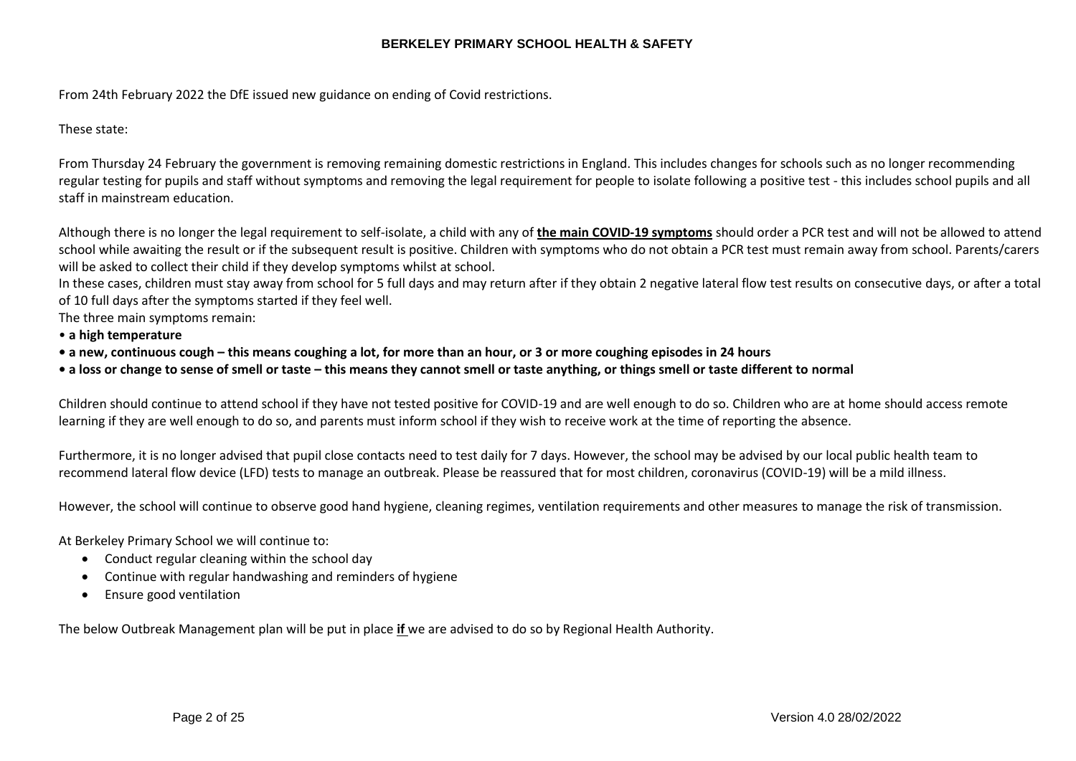From 24th February 2022 the DfE issued new guidance on ending of Covid restrictions.

These state:

From Thursday 24 February the government is removing remaining domestic restrictions in England. This includes changes for schools such as no longer recommending regular testing for pupils and staff without symptoms and removing the legal requirement for people to isolate following a positive test - this includes school pupils and all staff in mainstream education.

Although there is no longer the legal requirement to self-isolate, a child with any of **the main COVID-19 symptoms** should order a PCR test and will not be allowed to attend school while awaiting the result or if the subsequent result is positive. Children with symptoms who do not obtain a PCR test must remain away from school. Parents/carers will be asked to collect their child if they develop symptoms whilst at school.

In these cases, children must stay away from school for 5 full days and may return after if they obtain 2 negative lateral flow test results on consecutive days, or after a total of 10 full days after the symptoms started if they feel well.

The three main symptoms remain:

- **a high temperature**
- **a new, continuous cough – this means coughing a lot, for more than an hour, or 3 or more coughing episodes in 24 hours**
- **a loss or change to sense of smell or taste – this means they cannot smell or taste anything, or things smell or taste different to normal**

Children should continue to attend school if they have not tested positive for COVID-19 and are well enough to do so. Children who are at home should access remote learning if they are well enough to do so, and parents must inform school if they wish to receive work at the time of reporting the absence.

Furthermore, it is no longer advised that pupil close contacts need to test daily for 7 days. However, the school may be advised by our local public health team to recommend lateral flow device (LFD) tests to manage an outbreak. Please be reassured that for most children, coronavirus (COVID-19) will be a mild illness.

However, the school will continue to observe good hand hygiene, cleaning regimes, ventilation requirements and other measures to manage the risk of transmission.

At Berkeley Primary School we will continue to:

- Conduct regular cleaning within the school day
- Continue with regular handwashing and reminders of hygiene
- Ensure good ventilation

The below Outbreak Management plan will be put in place **if** we are advised to do so by Regional Health Authority.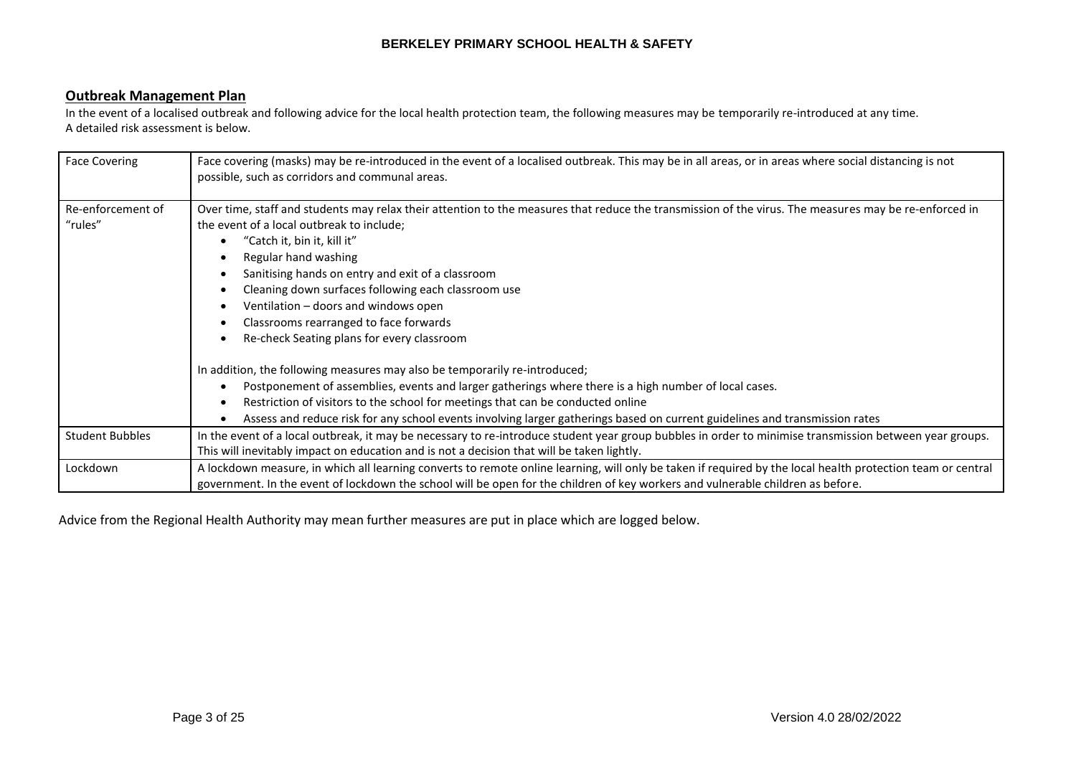## **Outbreak Management Plan**

In the event of a localised outbreak and following advice for the local health protection team, the following measures may be temporarily re-introduced at any time. A detailed risk assessment is below.

| <b>Face Covering</b>         | Face covering (masks) may be re-introduced in the event of a localised outbreak. This may be in all areas, or in areas where social distancing is not<br>possible, such as corridors and communal areas.                                                                                                                                                                                                                                                                                                                                                                                                                                                                                                                                                                                                                                                                                                       |
|------------------------------|----------------------------------------------------------------------------------------------------------------------------------------------------------------------------------------------------------------------------------------------------------------------------------------------------------------------------------------------------------------------------------------------------------------------------------------------------------------------------------------------------------------------------------------------------------------------------------------------------------------------------------------------------------------------------------------------------------------------------------------------------------------------------------------------------------------------------------------------------------------------------------------------------------------|
| Re-enforcement of<br>"rules" | Over time, staff and students may relax their attention to the measures that reduce the transmission of the virus. The measures may be re-enforced in<br>the event of a local outbreak to include;<br>"Catch it, bin it, kill it"<br>Regular hand washing<br>Sanitising hands on entry and exit of a classroom<br>Cleaning down surfaces following each classroom use<br>Ventilation - doors and windows open<br>Classrooms rearranged to face forwards<br>Re-check Seating plans for every classroom<br>In addition, the following measures may also be temporarily re-introduced;<br>Postponement of assemblies, events and larger gatherings where there is a high number of local cases.<br>Restriction of visitors to the school for meetings that can be conducted online<br>Assess and reduce risk for any school events involving larger gatherings based on current guidelines and transmission rates |
| <b>Student Bubbles</b>       | In the event of a local outbreak, it may be necessary to re-introduce student year group bubbles in order to minimise transmission between year groups.<br>This will inevitably impact on education and is not a decision that will be taken lightly.                                                                                                                                                                                                                                                                                                                                                                                                                                                                                                                                                                                                                                                          |
| Lockdown                     | A lockdown measure, in which all learning converts to remote online learning, will only be taken if required by the local health protection team or central<br>government. In the event of lockdown the school will be open for the children of key workers and vulnerable children as before.                                                                                                                                                                                                                                                                                                                                                                                                                                                                                                                                                                                                                 |

Advice from the Regional Health Authority may mean further measures are put in place which are logged below.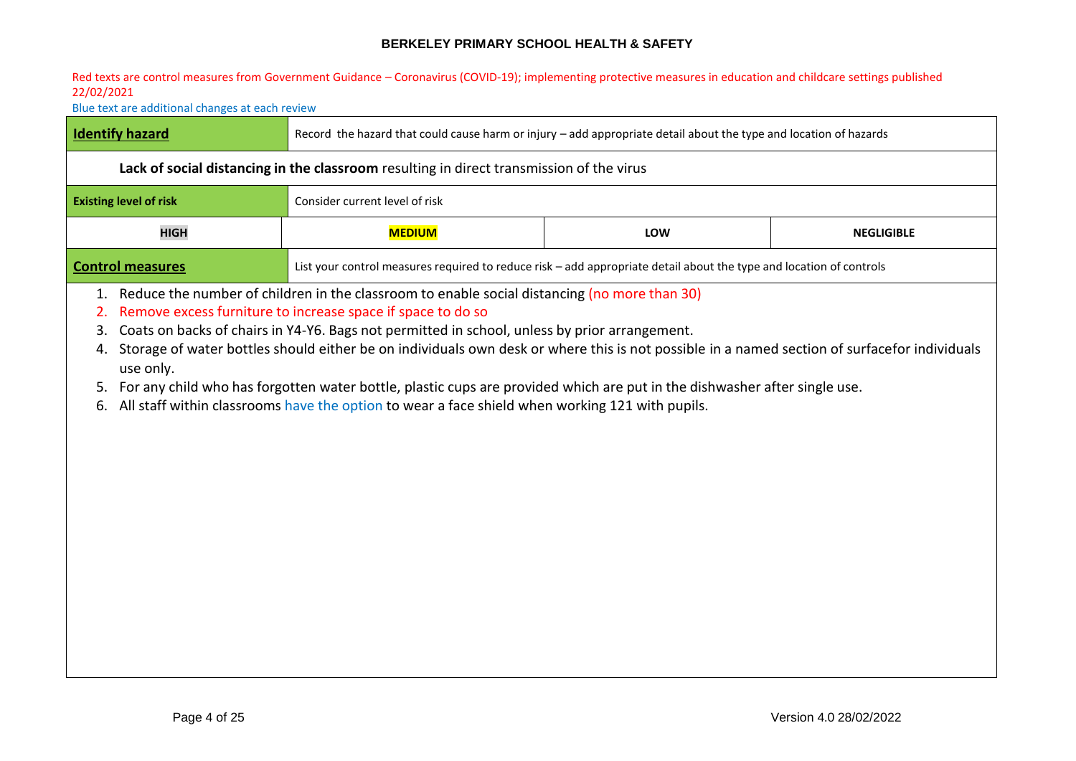#### Red texts are control measures from Government Guidance – Coronavirus (COVID-19); implementing protective measures in education and childcare settings published 22/02/2021

Blue text are additional changes at each review

| I Identify hazard                                                                               | Record the hazard that could cause harm or injury - add appropriate detail about the type and location of hazards   |  |  |  |  |
|-------------------------------------------------------------------------------------------------|---------------------------------------------------------------------------------------------------------------------|--|--|--|--|
| Lack of social distancing in the classroom resulting in direct transmission of the virus        |                                                                                                                     |  |  |  |  |
| <b>Existing level of risk</b>                                                                   | Consider current level of risk                                                                                      |  |  |  |  |
| <b>HIGH</b>                                                                                     | <b>MEDIUM</b><br>LOW<br><b>NEGLIGIBLE</b>                                                                           |  |  |  |  |
| <b>Control measures</b>                                                                         | List your control measures required to reduce risk – add appropriate detail about the type and location of controls |  |  |  |  |
| 1. Reduce the number of children in the classroom to enable social distancing (no more than 30) |                                                                                                                     |  |  |  |  |

- 2. Remove excess furniture to increase space if space to do so
- 3. Coats on backs of chairs in Y4-Y6. Bags not permitted in school, unless by prior arrangement.
- 4. Storage of water bottles should either be on individuals own desk or where this is not possible in a named section of surfacefor individuals use only.
- 5. For any child who has forgotten water bottle, plastic cups are provided which are put in the dishwasher after single use.
- 6. All staff within classrooms have the option to wear a face shield when working 121 with pupils.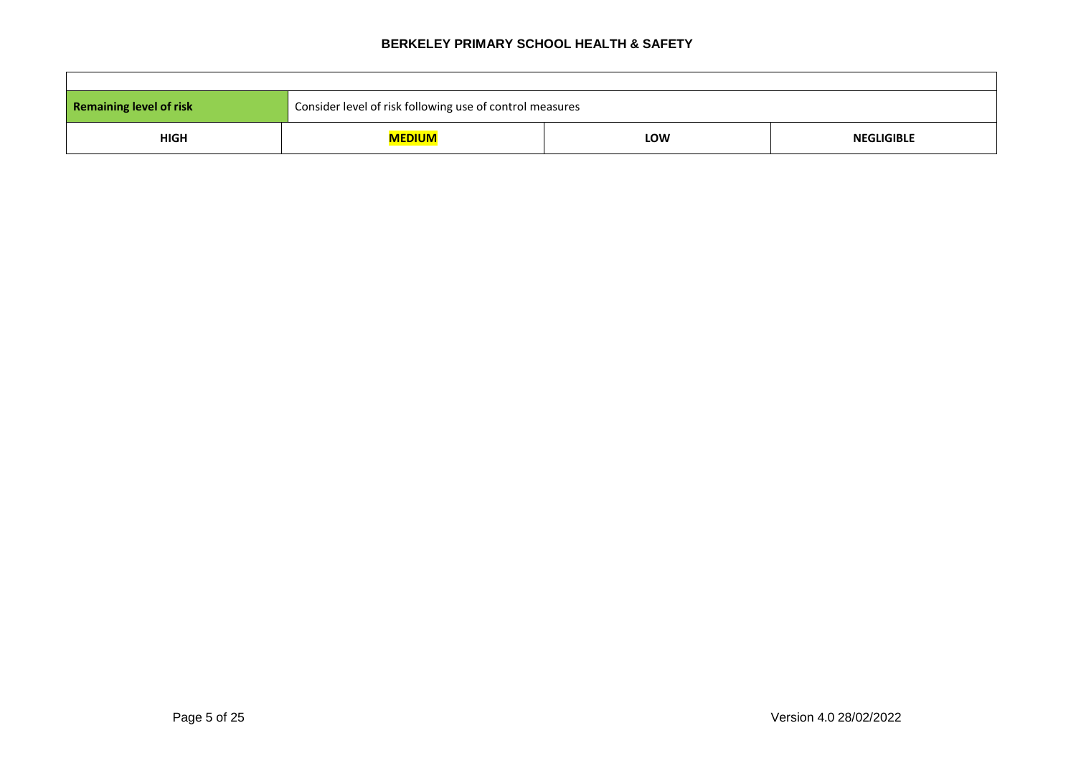| <b>Remaining level of risk</b> | Consider level of risk following use of control measures |     |                   |  |
|--------------------------------|----------------------------------------------------------|-----|-------------------|--|
| <b>HIGH</b>                    | MEDIUM                                                   | LOW | <b>NEGLIGIBLE</b> |  |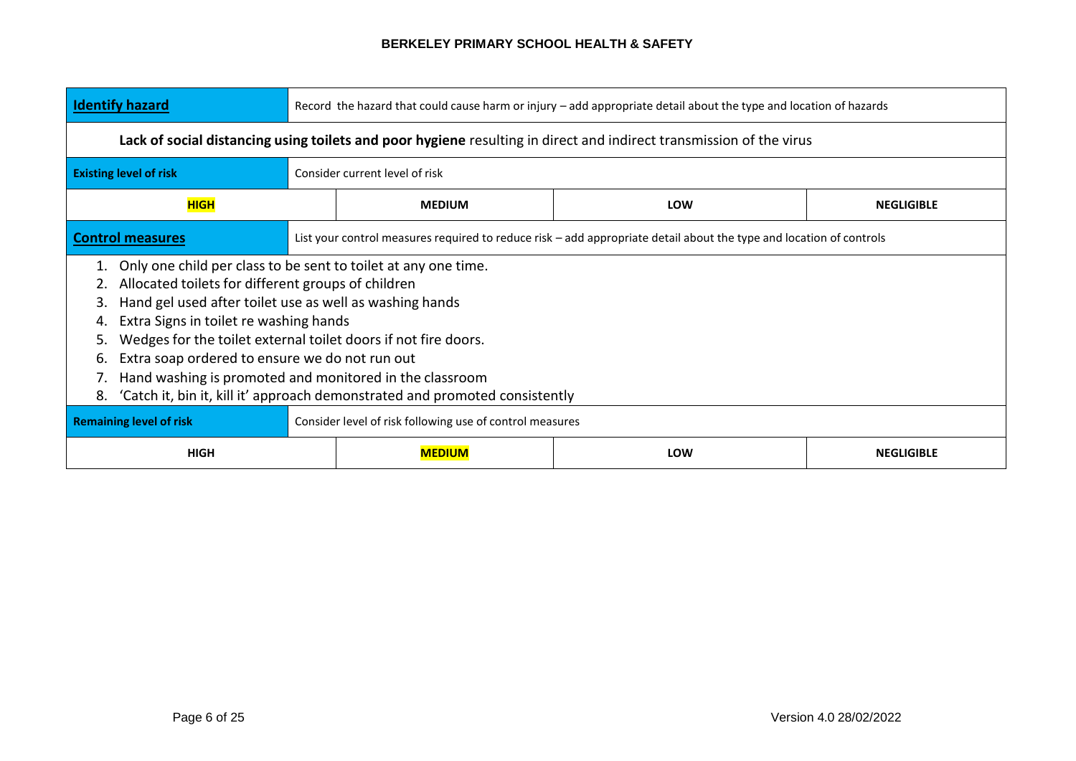| <b>Identify hazard</b>                                                                                                                                                                                                                                                                                                                                                                                                                                                                                                | Record the hazard that could cause harm or injury - add appropriate detail about the type and location of hazards |                                |                                                                                                                     |                   |
|-----------------------------------------------------------------------------------------------------------------------------------------------------------------------------------------------------------------------------------------------------------------------------------------------------------------------------------------------------------------------------------------------------------------------------------------------------------------------------------------------------------------------|-------------------------------------------------------------------------------------------------------------------|--------------------------------|---------------------------------------------------------------------------------------------------------------------|-------------------|
|                                                                                                                                                                                                                                                                                                                                                                                                                                                                                                                       |                                                                                                                   |                                | Lack of social distancing using toilets and poor hygiene resulting in direct and indirect transmission of the virus |                   |
| <b>Existing level of risk</b>                                                                                                                                                                                                                                                                                                                                                                                                                                                                                         |                                                                                                                   | Consider current level of risk |                                                                                                                     |                   |
| <b>HIGH</b>                                                                                                                                                                                                                                                                                                                                                                                                                                                                                                           |                                                                                                                   | <b>MEDIUM</b>                  | <b>LOW</b>                                                                                                          | <b>NEGLIGIBLE</b> |
| <b>Control measures</b>                                                                                                                                                                                                                                                                                                                                                                                                                                                                                               |                                                                                                                   |                                | List your control measures required to reduce risk – add appropriate detail about the type and location of controls |                   |
| Only one child per class to be sent to toilet at any one time.<br>Allocated toilets for different groups of children<br>2.<br>Hand gel used after toilet use as well as washing hands<br>3.<br>Extra Signs in toilet re washing hands<br>4.<br>Wedges for the toilet external toilet doors if not fire doors.<br>Extra soap ordered to ensure we do not run out<br>6.<br>Hand washing is promoted and monitored in the classroom<br>'Catch it, bin it, kill it' approach demonstrated and promoted consistently<br>8. |                                                                                                                   |                                |                                                                                                                     |                   |
|                                                                                                                                                                                                                                                                                                                                                                                                                                                                                                                       | <b>Remaining level of risk</b><br>Consider level of risk following use of control measures                        |                                |                                                                                                                     |                   |
| <b>HIGH</b>                                                                                                                                                                                                                                                                                                                                                                                                                                                                                                           |                                                                                                                   | <b>MEDIUM</b>                  | <b>LOW</b>                                                                                                          | <b>NEGLIGIBLE</b> |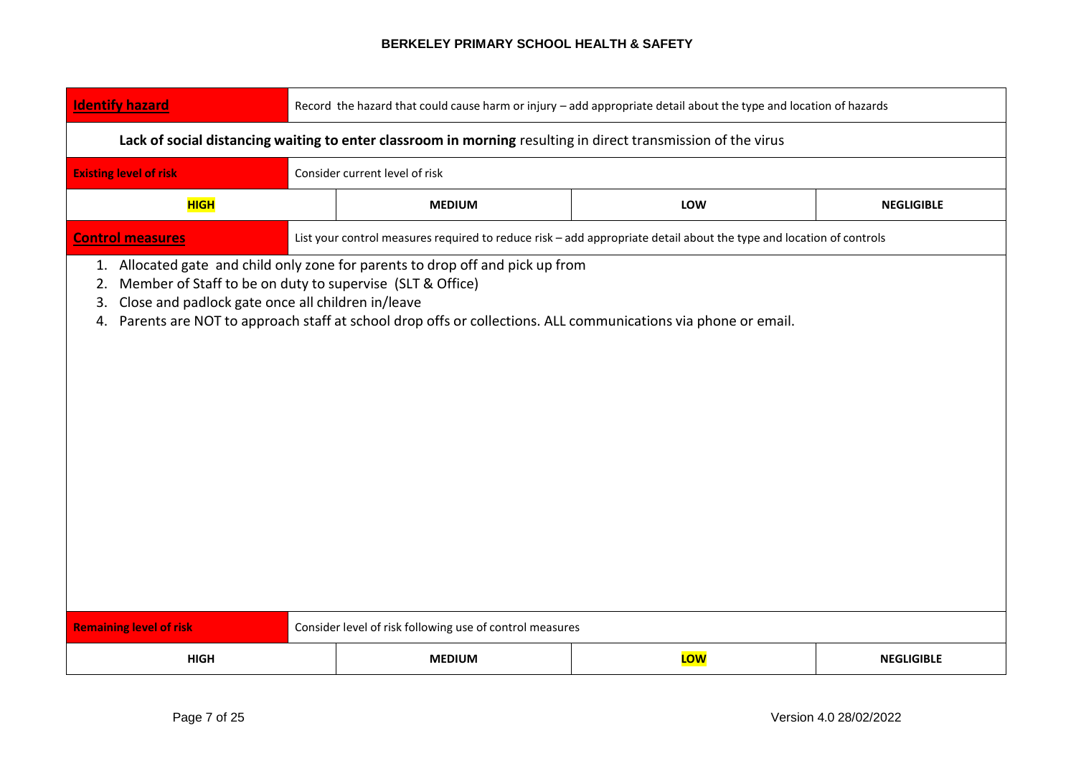| <b>Identify hazard</b>         | Record the hazard that could cause harm or injury - add appropriate detail about the type and location of hazards                                                                                                                                                                                                |                                                          |                                                                                                                     |                   |  |  |
|--------------------------------|------------------------------------------------------------------------------------------------------------------------------------------------------------------------------------------------------------------------------------------------------------------------------------------------------------------|----------------------------------------------------------|---------------------------------------------------------------------------------------------------------------------|-------------------|--|--|
|                                | Lack of social distancing waiting to enter classroom in morning resulting in direct transmission of the virus                                                                                                                                                                                                    |                                                          |                                                                                                                     |                   |  |  |
| <b>Existing level of risk</b>  |                                                                                                                                                                                                                                                                                                                  | Consider current level of risk                           |                                                                                                                     |                   |  |  |
| <b>HIGH</b>                    |                                                                                                                                                                                                                                                                                                                  | <b>MEDIUM</b>                                            | LOW                                                                                                                 | <b>NEGLIGIBLE</b> |  |  |
| <b>Control measures</b>        |                                                                                                                                                                                                                                                                                                                  |                                                          | List your control measures required to reduce risk - add appropriate detail about the type and location of controls |                   |  |  |
| 2.<br>3.<br>4.                 | 1. Allocated gate and child only zone for parents to drop off and pick up from<br>Member of Staff to be on duty to supervise (SLT & Office)<br>Close and padlock gate once all children in/leave<br>Parents are NOT to approach staff at school drop offs or collections. ALL communications via phone or email. |                                                          |                                                                                                                     |                   |  |  |
| <b>Remaining level of risk</b> |                                                                                                                                                                                                                                                                                                                  | Consider level of risk following use of control measures |                                                                                                                     |                   |  |  |
| <b>HIGH</b>                    | LOW<br><b>MEDIUM</b><br><b>NEGLIGIBLE</b>                                                                                                                                                                                                                                                                        |                                                          |                                                                                                                     |                   |  |  |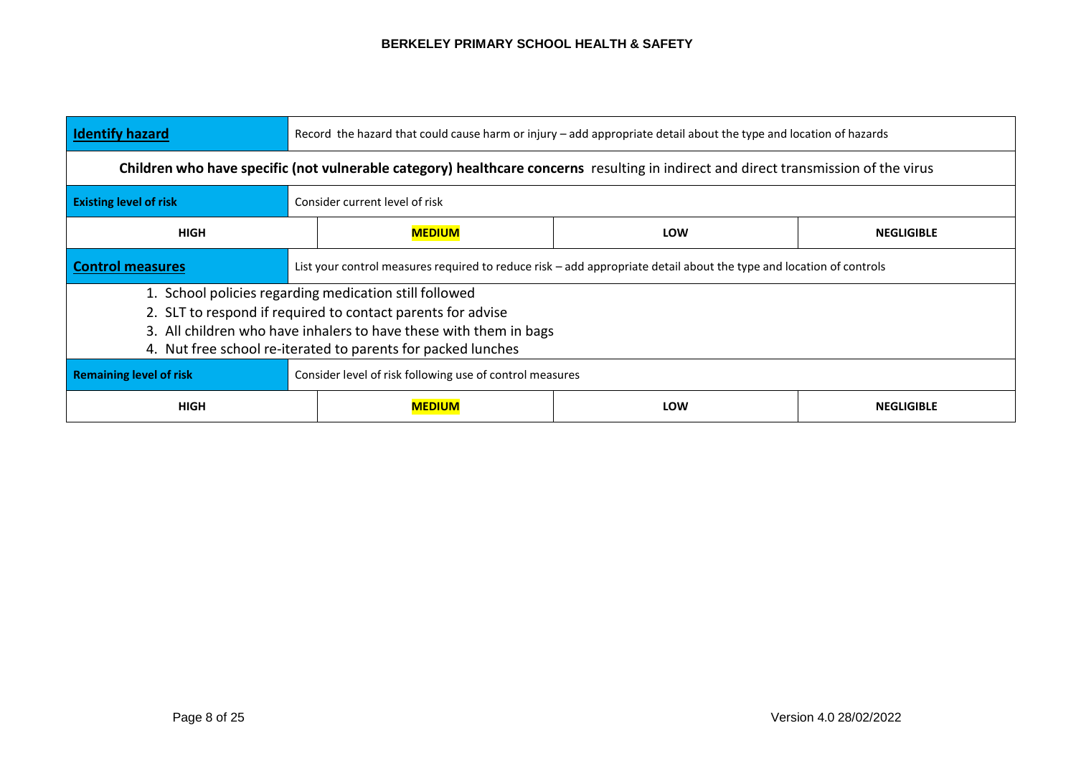| <b>Identify hazard</b>         | Record the hazard that could cause harm or injury – add appropriate detail about the type and location of hazards                   |                          |  |  |  |
|--------------------------------|-------------------------------------------------------------------------------------------------------------------------------------|--------------------------|--|--|--|
|                                | Children who have specific (not vulnerable category) healthcare concerns resulting in indirect and direct transmission of the virus |                          |  |  |  |
| <b>Existing level of risk</b>  | Consider current level of risk                                                                                                      |                          |  |  |  |
| <b>HIGH</b>                    | <b>MEDIUM</b>                                                                                                                       | LOW<br><b>NEGLIGIBLE</b> |  |  |  |
| <b>Control measures</b>        | List your control measures required to reduce risk – add appropriate detail about the type and location of controls                 |                          |  |  |  |
|                                | 1. School policies regarding medication still followed                                                                              |                          |  |  |  |
|                                | 2. SLT to respond if required to contact parents for advise                                                                         |                          |  |  |  |
|                                | 3. All children who have inhalers to have these with them in bags                                                                   |                          |  |  |  |
|                                | 4. Nut free school re-iterated to parents for packed lunches                                                                        |                          |  |  |  |
| <b>Remaining level of risk</b> | Consider level of risk following use of control measures                                                                            |                          |  |  |  |
| <b>HIGH</b>                    | <b>LOW</b><br><b>NEGLIGIBLE</b><br><b>MEDIUM</b>                                                                                    |                          |  |  |  |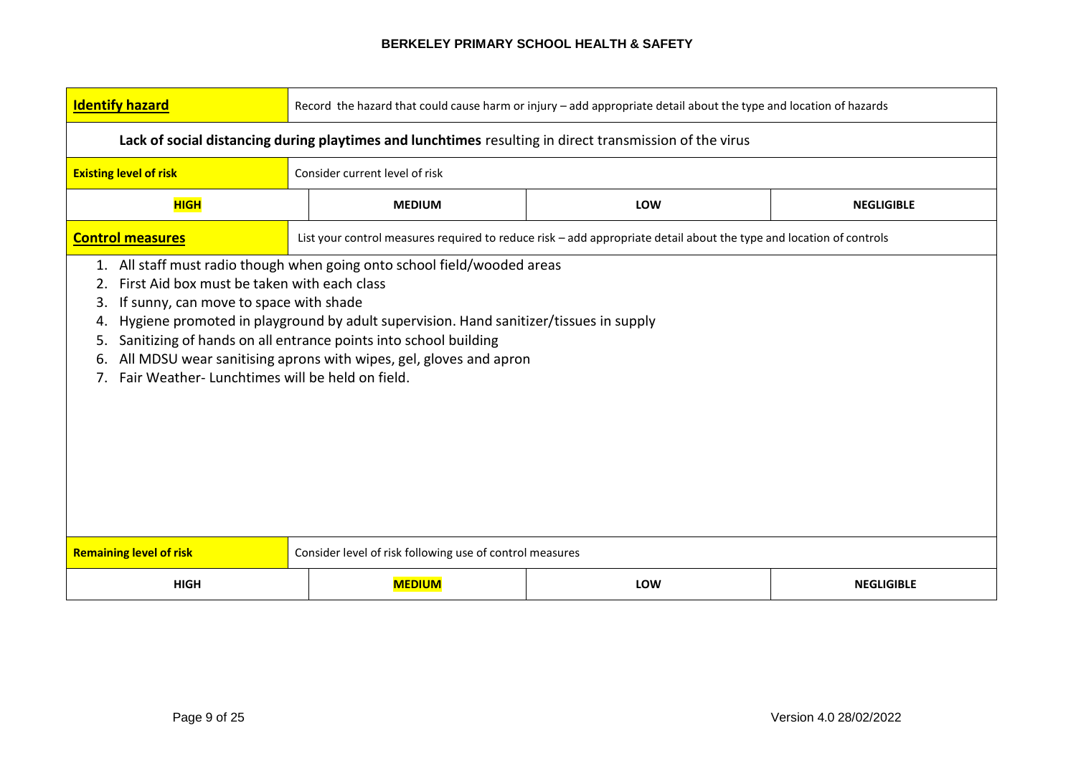| <b>Identify hazard</b>                                                                                  | Record the hazard that could cause harm or injury - add appropriate detail about the type and location of hazards                                                                                                                                                                                                                                                                                                                                       |                                                                                                                     |                   |  |  |  |
|---------------------------------------------------------------------------------------------------------|---------------------------------------------------------------------------------------------------------------------------------------------------------------------------------------------------------------------------------------------------------------------------------------------------------------------------------------------------------------------------------------------------------------------------------------------------------|---------------------------------------------------------------------------------------------------------------------|-------------------|--|--|--|
| Lack of social distancing during playtimes and lunchtimes resulting in direct transmission of the virus |                                                                                                                                                                                                                                                                                                                                                                                                                                                         |                                                                                                                     |                   |  |  |  |
| <b>Existing level of risk</b>                                                                           | Consider current level of risk                                                                                                                                                                                                                                                                                                                                                                                                                          |                                                                                                                     |                   |  |  |  |
| <b>HIGH</b>                                                                                             | <b>MEDIUM</b>                                                                                                                                                                                                                                                                                                                                                                                                                                           | LOW                                                                                                                 | <b>NEGLIGIBLE</b> |  |  |  |
| <b>Control measures</b>                                                                                 |                                                                                                                                                                                                                                                                                                                                                                                                                                                         | List your control measures required to reduce risk - add appropriate detail about the type and location of controls |                   |  |  |  |
| 2.<br>3.<br>5.<br>6.<br>$7_{\cdot}$                                                                     | All staff must radio though when going onto school field/wooded areas<br>1.<br>First Aid box must be taken with each class<br>If sunny, can move to space with shade<br>Hygiene promoted in playground by adult supervision. Hand sanitizer/tissues in supply<br>Sanitizing of hands on all entrance points into school building<br>All MDSU wear sanitising aprons with wipes, gel, gloves and apron<br>Fair Weather-Lunchtimes will be held on field. |                                                                                                                     |                   |  |  |  |
| <b>Remaining level of risk</b>                                                                          | Consider level of risk following use of control measures                                                                                                                                                                                                                                                                                                                                                                                                |                                                                                                                     |                   |  |  |  |
| <b>HIGH</b>                                                                                             | <b>MEDIUM</b><br>LOW<br><b>NEGLIGIBLE</b>                                                                                                                                                                                                                                                                                                                                                                                                               |                                                                                                                     |                   |  |  |  |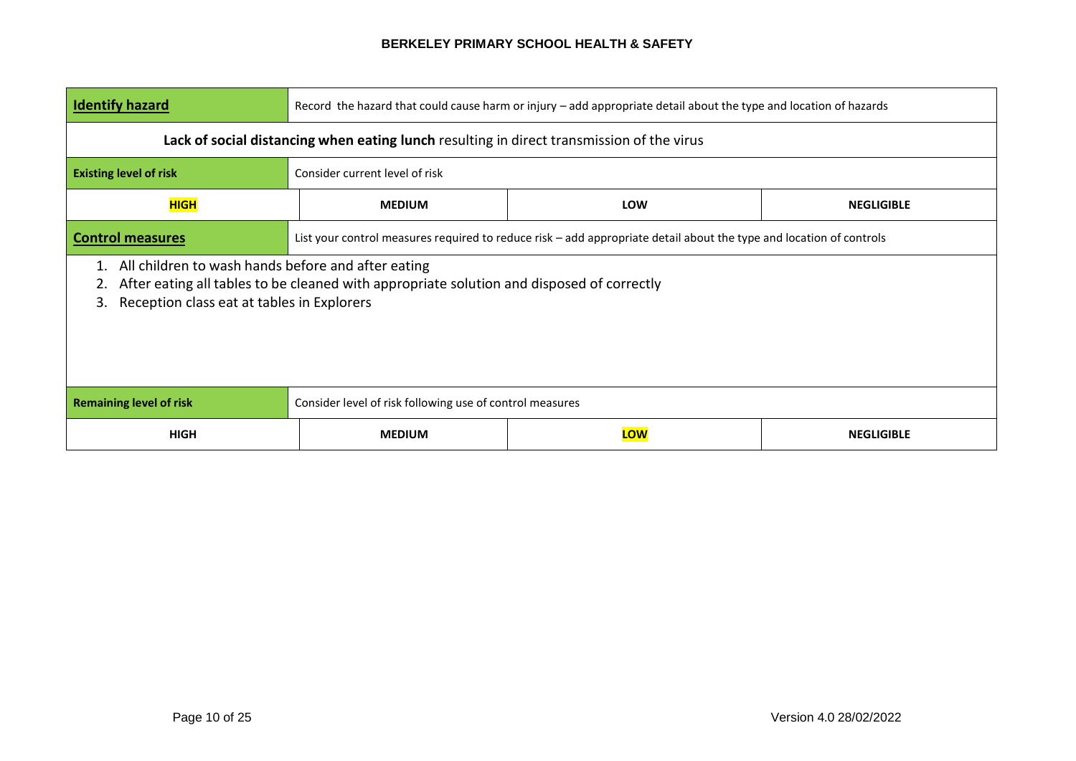| <b>Identify hazard</b>                                                                                                                                                                                          | Record the hazard that could cause harm or injury - add appropriate detail about the type and location of hazards   |  |  |  |  |
|-----------------------------------------------------------------------------------------------------------------------------------------------------------------------------------------------------------------|---------------------------------------------------------------------------------------------------------------------|--|--|--|--|
|                                                                                                                                                                                                                 | Lack of social distancing when eating lunch resulting in direct transmission of the virus                           |  |  |  |  |
| <b>Existing level of risk</b>                                                                                                                                                                                   | Consider current level of risk                                                                                      |  |  |  |  |
| <b>HIGH</b>                                                                                                                                                                                                     | <b>MEDIUM</b><br><b>LOW</b><br><b>NEGLIGIBLE</b>                                                                    |  |  |  |  |
| <b>Control measures</b>                                                                                                                                                                                         | List your control measures required to reduce risk - add appropriate detail about the type and location of controls |  |  |  |  |
| All children to wash hands before and after eating<br>1.<br>After eating all tables to be cleaned with appropriate solution and disposed of correctly<br>2.<br>Reception class eat at tables in Explorers<br>3. |                                                                                                                     |  |  |  |  |
| <b>Remaining level of risk</b>                                                                                                                                                                                  | Consider level of risk following use of control measures                                                            |  |  |  |  |
| <b>HIGH</b>                                                                                                                                                                                                     | <b>LOW</b><br><b>MEDIUM</b><br><b>NEGLIGIBLE</b>                                                                    |  |  |  |  |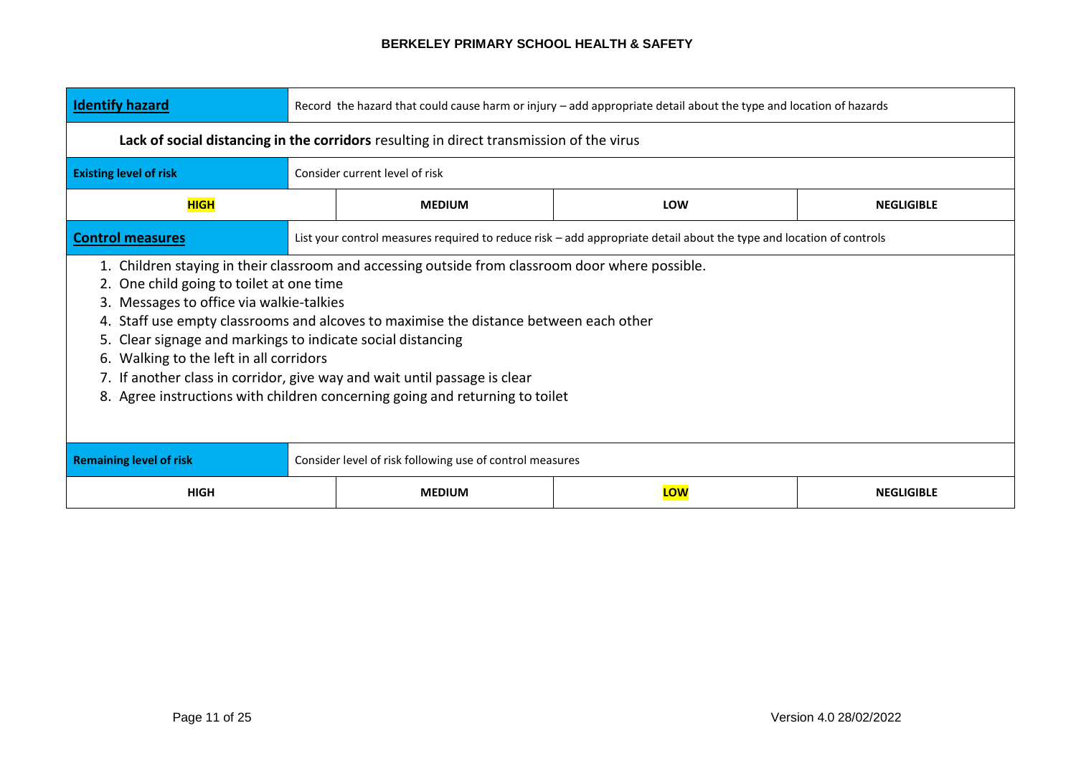| <b>Identify hazard</b>                                                                                                                                                                                                                                                                                                                                                                                                                                                                                                                                   | Record the hazard that could cause harm or injury - add appropriate detail about the type and location of hazards |                                                                                          |                                                                                                                     |                   |  |
|----------------------------------------------------------------------------------------------------------------------------------------------------------------------------------------------------------------------------------------------------------------------------------------------------------------------------------------------------------------------------------------------------------------------------------------------------------------------------------------------------------------------------------------------------------|-------------------------------------------------------------------------------------------------------------------|------------------------------------------------------------------------------------------|---------------------------------------------------------------------------------------------------------------------|-------------------|--|
|                                                                                                                                                                                                                                                                                                                                                                                                                                                                                                                                                          |                                                                                                                   | Lack of social distancing in the corridors resulting in direct transmission of the virus |                                                                                                                     |                   |  |
| <b>Existing level of risk</b>                                                                                                                                                                                                                                                                                                                                                                                                                                                                                                                            |                                                                                                                   | Consider current level of risk                                                           |                                                                                                                     |                   |  |
| <b>HIGH</b>                                                                                                                                                                                                                                                                                                                                                                                                                                                                                                                                              |                                                                                                                   | <b>MEDIUM</b>                                                                            | LOW                                                                                                                 | <b>NEGLIGIBLE</b> |  |
| <b>Control measures</b>                                                                                                                                                                                                                                                                                                                                                                                                                                                                                                                                  |                                                                                                                   |                                                                                          | List your control measures required to reduce risk - add appropriate detail about the type and location of controls |                   |  |
| 1. Children staying in their classroom and accessing outside from classroom door where possible.<br>2. One child going to toilet at one time<br>3. Messages to office via walkie-talkies<br>4. Staff use empty classrooms and alcoves to maximise the distance between each other<br>5. Clear signage and markings to indicate social distancing<br>6. Walking to the left in all corridors<br>7. If another class in corridor, give way and wait until passage is clear<br>8. Agree instructions with children concerning going and returning to toilet |                                                                                                                   |                                                                                          |                                                                                                                     |                   |  |
| <b>Remaining level of risk</b><br>Consider level of risk following use of control measures                                                                                                                                                                                                                                                                                                                                                                                                                                                               |                                                                                                                   |                                                                                          |                                                                                                                     |                   |  |
| <b>HIGH</b>                                                                                                                                                                                                                                                                                                                                                                                                                                                                                                                                              |                                                                                                                   | <b>MEDIUM</b>                                                                            | LOW                                                                                                                 | <b>NEGLIGIBLE</b> |  |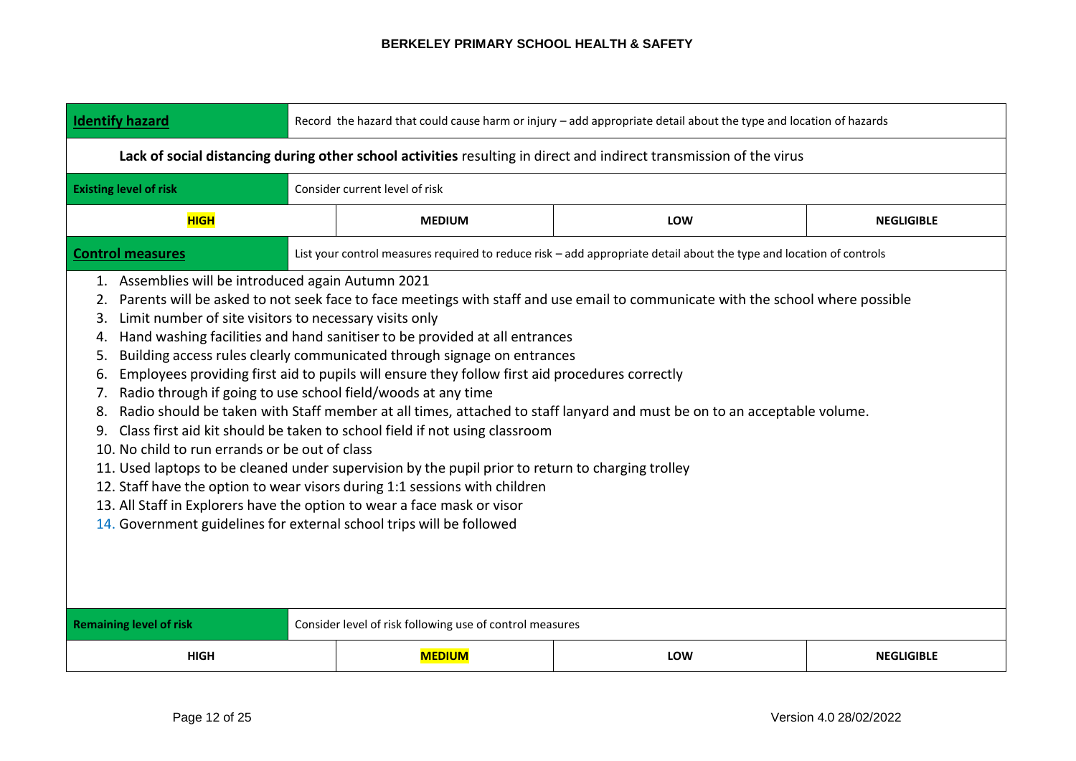| <b>Identify hazard</b>                                                                                                                                                                                                                                                                                                                                                                                                                                                                                                                                                                                                                                                                                                                                                                                                                                                                                                                                                                                                                                                                                                                                                                                                     | Record the hazard that could cause harm or injury - add appropriate detail about the type and location of hazards   |                                                          |                                                                                                                     |                   |  |  |
|----------------------------------------------------------------------------------------------------------------------------------------------------------------------------------------------------------------------------------------------------------------------------------------------------------------------------------------------------------------------------------------------------------------------------------------------------------------------------------------------------------------------------------------------------------------------------------------------------------------------------------------------------------------------------------------------------------------------------------------------------------------------------------------------------------------------------------------------------------------------------------------------------------------------------------------------------------------------------------------------------------------------------------------------------------------------------------------------------------------------------------------------------------------------------------------------------------------------------|---------------------------------------------------------------------------------------------------------------------|----------------------------------------------------------|---------------------------------------------------------------------------------------------------------------------|-------------------|--|--|
|                                                                                                                                                                                                                                                                                                                                                                                                                                                                                                                                                                                                                                                                                                                                                                                                                                                                                                                                                                                                                                                                                                                                                                                                                            | Lack of social distancing during other school activities resulting in direct and indirect transmission of the virus |                                                          |                                                                                                                     |                   |  |  |
| <b>Existing level of risk</b>                                                                                                                                                                                                                                                                                                                                                                                                                                                                                                                                                                                                                                                                                                                                                                                                                                                                                                                                                                                                                                                                                                                                                                                              |                                                                                                                     | Consider current level of risk                           |                                                                                                                     |                   |  |  |
| <b>HIGH</b>                                                                                                                                                                                                                                                                                                                                                                                                                                                                                                                                                                                                                                                                                                                                                                                                                                                                                                                                                                                                                                                                                                                                                                                                                |                                                                                                                     | <b>MEDIUM</b>                                            | LOW                                                                                                                 | <b>NEGLIGIBLE</b> |  |  |
| <b>Control measures</b>                                                                                                                                                                                                                                                                                                                                                                                                                                                                                                                                                                                                                                                                                                                                                                                                                                                                                                                                                                                                                                                                                                                                                                                                    |                                                                                                                     |                                                          | List your control measures required to reduce risk - add appropriate detail about the type and location of controls |                   |  |  |
| 1. Assemblies will be introduced again Autumn 2021<br>Parents will be asked to not seek face to face meetings with staff and use email to communicate with the school where possible<br>2.<br>Limit number of site visitors to necessary visits only<br>3.<br>Hand washing facilities and hand sanitiser to be provided at all entrances<br>4.<br>Building access rules clearly communicated through signage on entrances<br>5.<br>Employees providing first aid to pupils will ensure they follow first aid procedures correctly<br>6.<br>Radio through if going to use school field/woods at any time<br>7.<br>Radio should be taken with Staff member at all times, attached to staff lanyard and must be on to an acceptable volume.<br>8.<br>Class first aid kit should be taken to school field if not using classroom<br>9.<br>10. No child to run errands or be out of class<br>11. Used laptops to be cleaned under supervision by the pupil prior to return to charging trolley<br>12. Staff have the option to wear visors during 1:1 sessions with children<br>13. All Staff in Explorers have the option to wear a face mask or visor<br>14. Government guidelines for external school trips will be followed |                                                                                                                     |                                                          |                                                                                                                     |                   |  |  |
| <b>Remaining level of risk</b>                                                                                                                                                                                                                                                                                                                                                                                                                                                                                                                                                                                                                                                                                                                                                                                                                                                                                                                                                                                                                                                                                                                                                                                             |                                                                                                                     | Consider level of risk following use of control measures |                                                                                                                     |                   |  |  |
| <b>HIGH</b>                                                                                                                                                                                                                                                                                                                                                                                                                                                                                                                                                                                                                                                                                                                                                                                                                                                                                                                                                                                                                                                                                                                                                                                                                | <b>MEDIUM</b><br>LOW<br><b>NEGLIGIBLE</b>                                                                           |                                                          |                                                                                                                     |                   |  |  |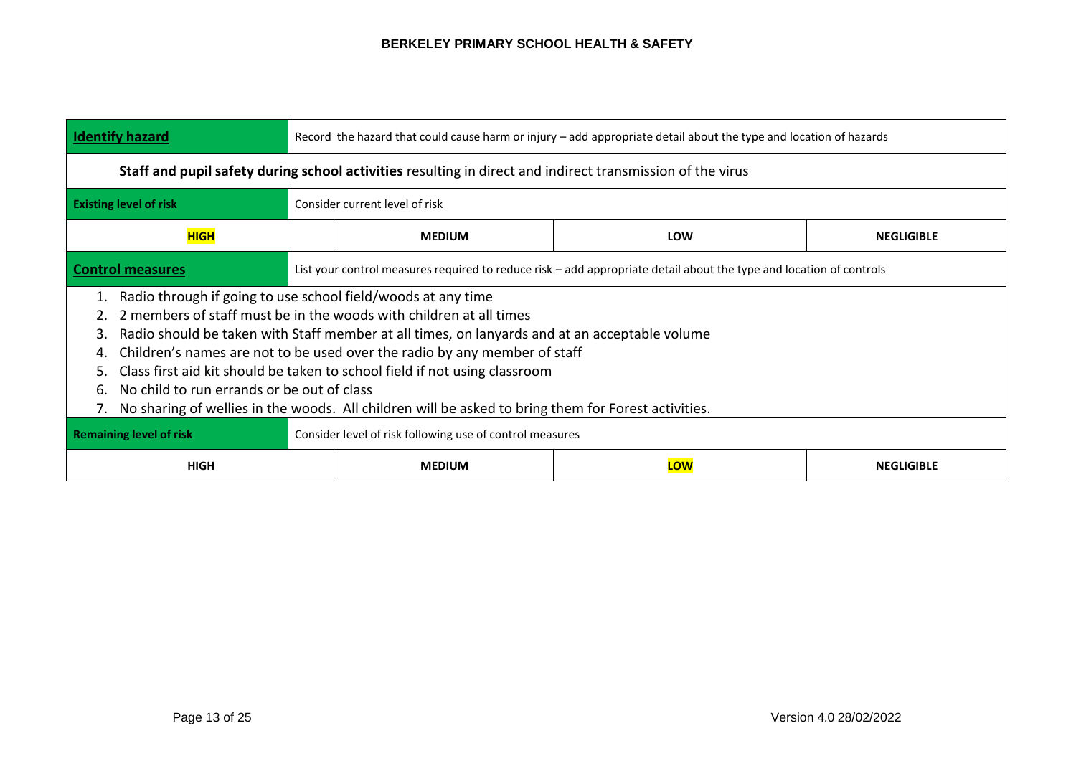| <b>Identify hazard</b>                                                                                                                                                                                                                                                                                                                                                                                                                                                                                                                                                | Record the hazard that could cause harm or injury - add appropriate detail about the type and location of hazards   |  |  |  |  |  |
|-----------------------------------------------------------------------------------------------------------------------------------------------------------------------------------------------------------------------------------------------------------------------------------------------------------------------------------------------------------------------------------------------------------------------------------------------------------------------------------------------------------------------------------------------------------------------|---------------------------------------------------------------------------------------------------------------------|--|--|--|--|--|
|                                                                                                                                                                                                                                                                                                                                                                                                                                                                                                                                                                       | Staff and pupil safety during school activities resulting in direct and indirect transmission of the virus          |  |  |  |  |  |
| <b>Existing level of risk</b>                                                                                                                                                                                                                                                                                                                                                                                                                                                                                                                                         | Consider current level of risk                                                                                      |  |  |  |  |  |
| <b>HIGH</b>                                                                                                                                                                                                                                                                                                                                                                                                                                                                                                                                                           | <b>MEDIUM</b><br>LOW<br><b>NEGLIGIBLE</b>                                                                           |  |  |  |  |  |
| <b>Control measures</b>                                                                                                                                                                                                                                                                                                                                                                                                                                                                                                                                               | List your control measures required to reduce risk – add appropriate detail about the type and location of controls |  |  |  |  |  |
| Radio through if going to use school field/woods at any time<br>2 members of staff must be in the woods with children at all times<br>Radio should be taken with Staff member at all times, on lanyards and at an acceptable volume<br>3.<br>Children's names are not to be used over the radio by any member of staff<br>Class first aid kit should be taken to school field if not using classroom<br>5.<br>No child to run errands or be out of class<br>6.<br>No sharing of wellies in the woods. All children will be asked to bring them for Forest activities. |                                                                                                                     |  |  |  |  |  |
| <b>Remaining level of risk</b><br>Consider level of risk following use of control measures<br>LOW<br>HIGH<br><b>NEGLIGIBLE</b><br><b>MEDIUM</b>                                                                                                                                                                                                                                                                                                                                                                                                                       |                                                                                                                     |  |  |  |  |  |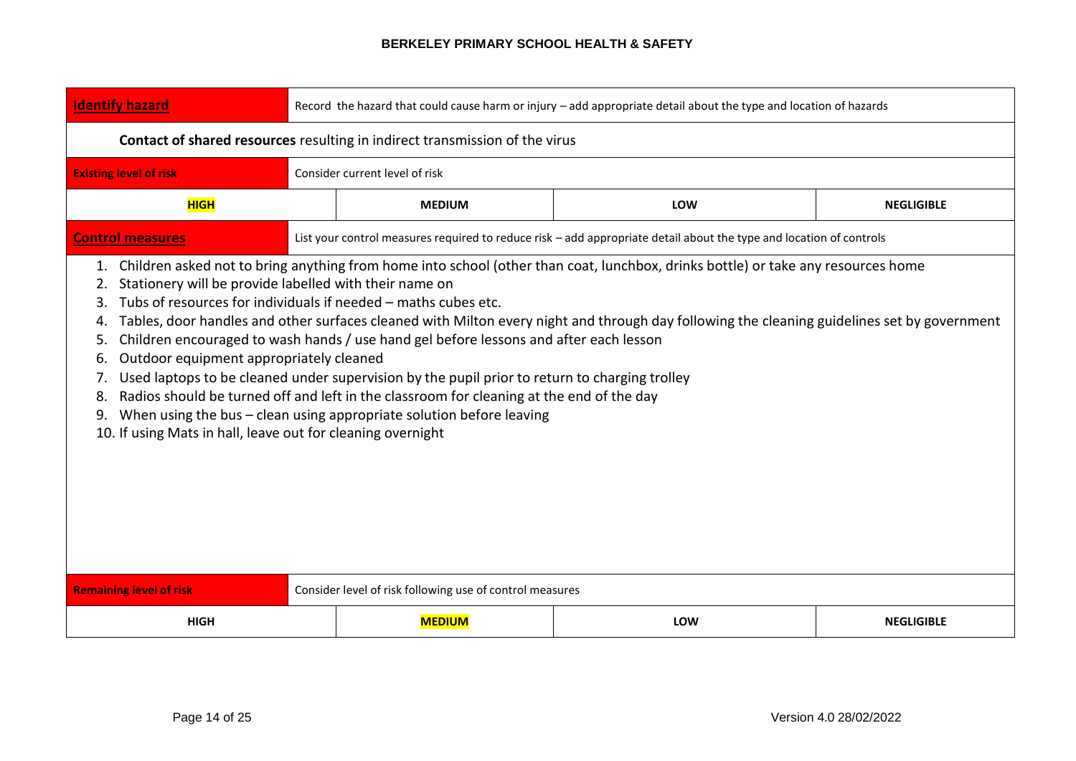| <b>Identify hazard</b>                                                                                                                                                                                                                                                                                                                                                                                                                                                                                                                                                                                                                                                                                                                                                                                                                                                                                                           | Record the hazard that could cause harm or injury - add appropriate detail about the type and location of hazards |                                                          |                                                                                                                     |                   |  |  |
|----------------------------------------------------------------------------------------------------------------------------------------------------------------------------------------------------------------------------------------------------------------------------------------------------------------------------------------------------------------------------------------------------------------------------------------------------------------------------------------------------------------------------------------------------------------------------------------------------------------------------------------------------------------------------------------------------------------------------------------------------------------------------------------------------------------------------------------------------------------------------------------------------------------------------------|-------------------------------------------------------------------------------------------------------------------|----------------------------------------------------------|---------------------------------------------------------------------------------------------------------------------|-------------------|--|--|
| Contact of shared resources resulting in indirect transmission of the virus                                                                                                                                                                                                                                                                                                                                                                                                                                                                                                                                                                                                                                                                                                                                                                                                                                                      |                                                                                                                   |                                                          |                                                                                                                     |                   |  |  |
| <b>Existing level of risk</b>                                                                                                                                                                                                                                                                                                                                                                                                                                                                                                                                                                                                                                                                                                                                                                                                                                                                                                    |                                                                                                                   | Consider current level of risk                           |                                                                                                                     |                   |  |  |
| <b>HIGH</b>                                                                                                                                                                                                                                                                                                                                                                                                                                                                                                                                                                                                                                                                                                                                                                                                                                                                                                                      |                                                                                                                   | <b>MEDIUM</b>                                            | LOW                                                                                                                 | <b>NEGLIGIBLE</b> |  |  |
| <b>Control measures</b>                                                                                                                                                                                                                                                                                                                                                                                                                                                                                                                                                                                                                                                                                                                                                                                                                                                                                                          |                                                                                                                   |                                                          | List your control measures required to reduce risk - add appropriate detail about the type and location of controls |                   |  |  |
| 1. Children asked not to bring anything from home into school (other than coat, lunchbox, drinks bottle) or take any resources home<br>Stationery will be provide labelled with their name on<br>2.<br>Tubs of resources for individuals if needed - maths cubes etc.<br>3.<br>Tables, door handles and other surfaces cleaned with Milton every night and through day following the cleaning guidelines set by government<br>4.<br>Children encouraged to wash hands / use hand gel before lessons and after each lesson<br>5.<br>Outdoor equipment appropriately cleaned<br>6.<br>Used laptops to be cleaned under supervision by the pupil prior to return to charging trolley<br>Radios should be turned off and left in the classroom for cleaning at the end of the day<br>8.<br>When using the bus - clean using appropriate solution before leaving<br>9.<br>10. If using Mats in hall, leave out for cleaning overnight |                                                                                                                   |                                                          |                                                                                                                     |                   |  |  |
| <b>Remaining level of risk</b>                                                                                                                                                                                                                                                                                                                                                                                                                                                                                                                                                                                                                                                                                                                                                                                                                                                                                                   |                                                                                                                   | Consider level of risk following use of control measures |                                                                                                                     |                   |  |  |
| <b>HIGH</b>                                                                                                                                                                                                                                                                                                                                                                                                                                                                                                                                                                                                                                                                                                                                                                                                                                                                                                                      | <b>MEDIUM</b><br><b>NEGLIGIBLE</b><br>LOW                                                                         |                                                          |                                                                                                                     |                   |  |  |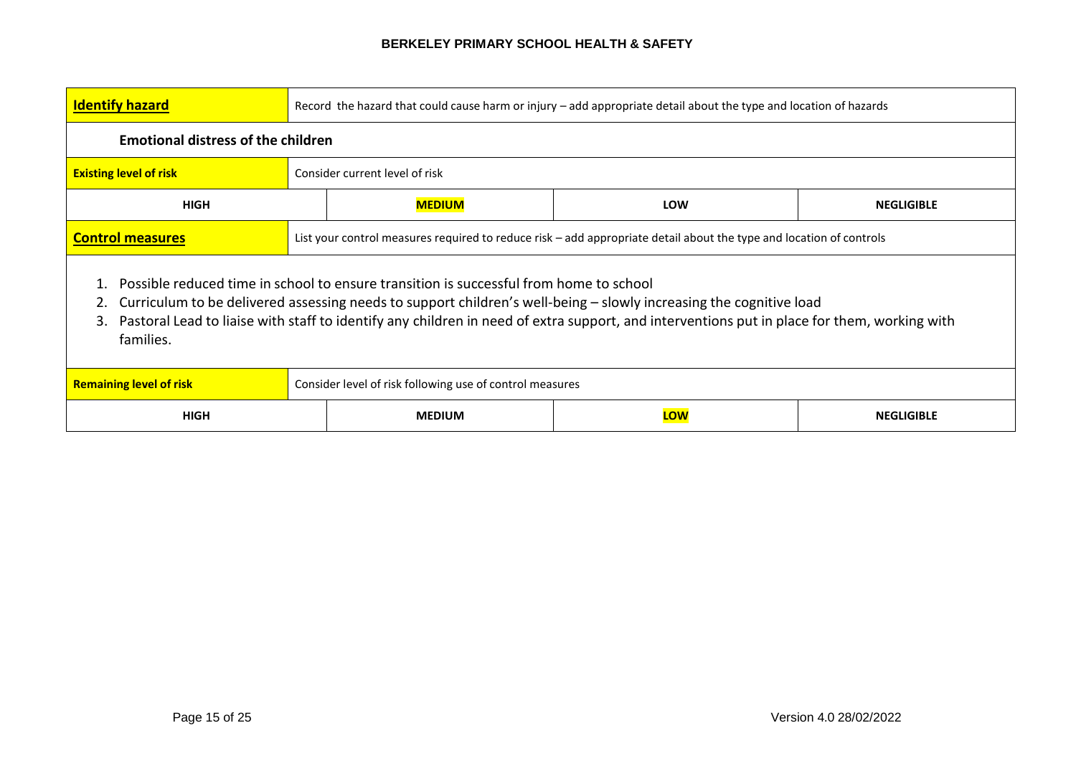| <b>Identify hazard</b>                                                                                                                                                                                                                                                                                                                                                         | Record the hazard that could cause harm or injury - add appropriate detail about the type and location of hazards   |                                                  |  |  |  |  |
|--------------------------------------------------------------------------------------------------------------------------------------------------------------------------------------------------------------------------------------------------------------------------------------------------------------------------------------------------------------------------------|---------------------------------------------------------------------------------------------------------------------|--------------------------------------------------|--|--|--|--|
|                                                                                                                                                                                                                                                                                                                                                                                | <b>Emotional distress of the children</b>                                                                           |                                                  |  |  |  |  |
| <b>Existing level of risk</b>                                                                                                                                                                                                                                                                                                                                                  |                                                                                                                     | Consider current level of risk                   |  |  |  |  |
| <b>HIGH</b>                                                                                                                                                                                                                                                                                                                                                                    |                                                                                                                     | <b>MEDIUM</b><br><b>LOW</b><br><b>NEGLIGIBLE</b> |  |  |  |  |
| <b>Control measures</b>                                                                                                                                                                                                                                                                                                                                                        | List your control measures required to reduce risk – add appropriate detail about the type and location of controls |                                                  |  |  |  |  |
| Possible reduced time in school to ensure transition is successful from home to school<br>Curriculum to be delivered assessing needs to support children's well-being - slowly increasing the cognitive load<br>Pastoral Lead to liaise with staff to identify any children in need of extra support, and interventions put in place for them, working with<br>3.<br>families. |                                                                                                                     |                                                  |  |  |  |  |
| <b>Remaining level of risk</b>                                                                                                                                                                                                                                                                                                                                                 | Consider level of risk following use of control measures                                                            |                                                  |  |  |  |  |
| <b>HIGH</b>                                                                                                                                                                                                                                                                                                                                                                    |                                                                                                                     | LOW<br><b>MEDIUM</b><br><b>NEGLIGIBLE</b>        |  |  |  |  |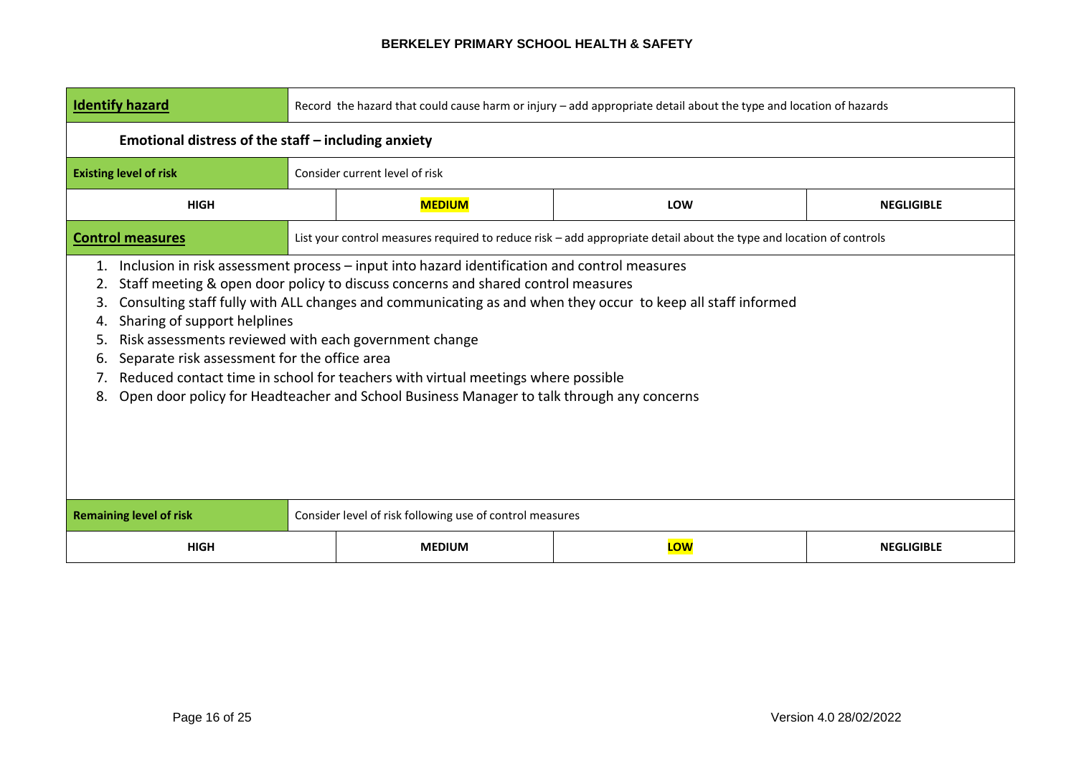| <b>Identify hazard</b>                                                                                                                                                                                                                                                                                                                                                                                                                                                                                                                                                                                                                                              | Record the hazard that could cause harm or injury - add appropriate detail about the type and location of hazards |                                |                                                                                                                     |                   |  |
|---------------------------------------------------------------------------------------------------------------------------------------------------------------------------------------------------------------------------------------------------------------------------------------------------------------------------------------------------------------------------------------------------------------------------------------------------------------------------------------------------------------------------------------------------------------------------------------------------------------------------------------------------------------------|-------------------------------------------------------------------------------------------------------------------|--------------------------------|---------------------------------------------------------------------------------------------------------------------|-------------------|--|
| Emotional distress of the staff - including anxiety                                                                                                                                                                                                                                                                                                                                                                                                                                                                                                                                                                                                                 |                                                                                                                   |                                |                                                                                                                     |                   |  |
| <b>Existing level of risk</b>                                                                                                                                                                                                                                                                                                                                                                                                                                                                                                                                                                                                                                       |                                                                                                                   | Consider current level of risk |                                                                                                                     |                   |  |
| <b>HIGH</b>                                                                                                                                                                                                                                                                                                                                                                                                                                                                                                                                                                                                                                                         |                                                                                                                   | <b>MEDIUM</b>                  | LOW                                                                                                                 | <b>NEGLIGIBLE</b> |  |
| <b>Control measures</b>                                                                                                                                                                                                                                                                                                                                                                                                                                                                                                                                                                                                                                             |                                                                                                                   |                                | List your control measures required to reduce risk - add appropriate detail about the type and location of controls |                   |  |
| Inclusion in risk assessment process – input into hazard identification and control measures<br>1.<br>Staff meeting & open door policy to discuss concerns and shared control measures<br>2.<br>Consulting staff fully with ALL changes and communicating as and when they occur to keep all staff informed<br>3.<br>Sharing of support helplines<br>4.<br>Risk assessments reviewed with each government change<br>5.<br>Separate risk assessment for the office area<br>6.<br>Reduced contact time in school for teachers with virtual meetings where possible<br>Open door policy for Headteacher and School Business Manager to talk through any concerns<br>8. |                                                                                                                   |                                |                                                                                                                     |                   |  |
| <b>Remaining level of risk</b>                                                                                                                                                                                                                                                                                                                                                                                                                                                                                                                                                                                                                                      | Consider level of risk following use of control measures                                                          |                                |                                                                                                                     |                   |  |
| <b>HIGH</b>                                                                                                                                                                                                                                                                                                                                                                                                                                                                                                                                                                                                                                                         | LOW<br><b>NEGLIGIBLE</b><br><b>MEDIUM</b>                                                                         |                                |                                                                                                                     |                   |  |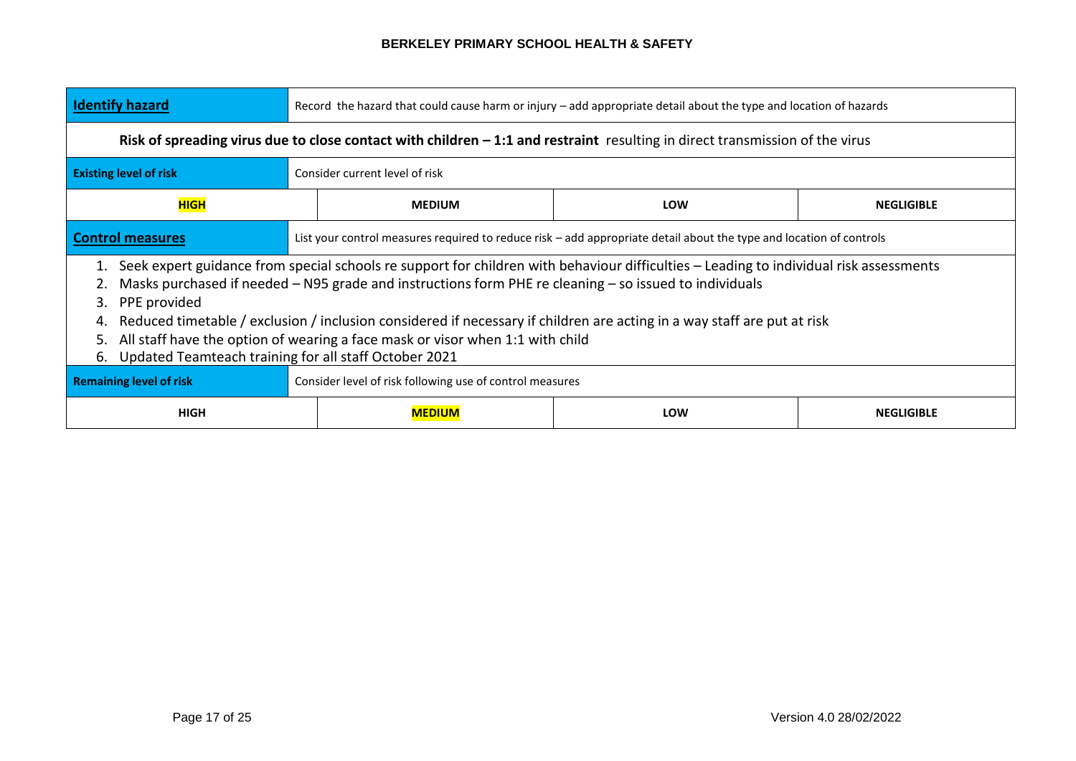| <b>Identify hazard</b>                                                                                                                                                                                                                                                                                                                                                                                                                                                                                                                                                                           | Record the hazard that could cause harm or injury - add appropriate detail about the type and location of hazards   |                                                  |     |                   |  |
|--------------------------------------------------------------------------------------------------------------------------------------------------------------------------------------------------------------------------------------------------------------------------------------------------------------------------------------------------------------------------------------------------------------------------------------------------------------------------------------------------------------------------------------------------------------------------------------------------|---------------------------------------------------------------------------------------------------------------------|--------------------------------------------------|-----|-------------------|--|
| Risk of spreading virus due to close contact with children $-1:1$ and restraint resulting in direct transmission of the virus                                                                                                                                                                                                                                                                                                                                                                                                                                                                    |                                                                                                                     |                                                  |     |                   |  |
| <b>Existing level of risk</b><br>Consider current level of risk                                                                                                                                                                                                                                                                                                                                                                                                                                                                                                                                  |                                                                                                                     |                                                  |     |                   |  |
| <b>HIGH</b>                                                                                                                                                                                                                                                                                                                                                                                                                                                                                                                                                                                      |                                                                                                                     | <b>MEDIUM</b><br><b>LOW</b><br><b>NEGLIGIBLE</b> |     |                   |  |
| <b>Control measures</b>                                                                                                                                                                                                                                                                                                                                                                                                                                                                                                                                                                          | List your control measures required to reduce risk – add appropriate detail about the type and location of controls |                                                  |     |                   |  |
| Seek expert guidance from special schools re support for children with behaviour difficulties – Leading to individual risk assessments<br>1.<br>Masks purchased if needed $-$ N95 grade and instructions form PHE re cleaning $-$ so issued to individuals<br>3. PPE provided<br>Reduced timetable / exclusion / inclusion considered if necessary if children are acting in a way staff are put at risk<br>4.<br>5. All staff have the option of wearing a face mask or visor when 1:1 with child<br>6. Updated Teamteach training for all staff October 2021<br><b>Remaining level of risk</b> |                                                                                                                     |                                                  |     |                   |  |
|                                                                                                                                                                                                                                                                                                                                                                                                                                                                                                                                                                                                  | Consider level of risk following use of control measures                                                            |                                                  |     |                   |  |
| <b>HIGH</b>                                                                                                                                                                                                                                                                                                                                                                                                                                                                                                                                                                                      |                                                                                                                     | <b>MEDIUM</b>                                    | LOW | <b>NEGLIGIBLE</b> |  |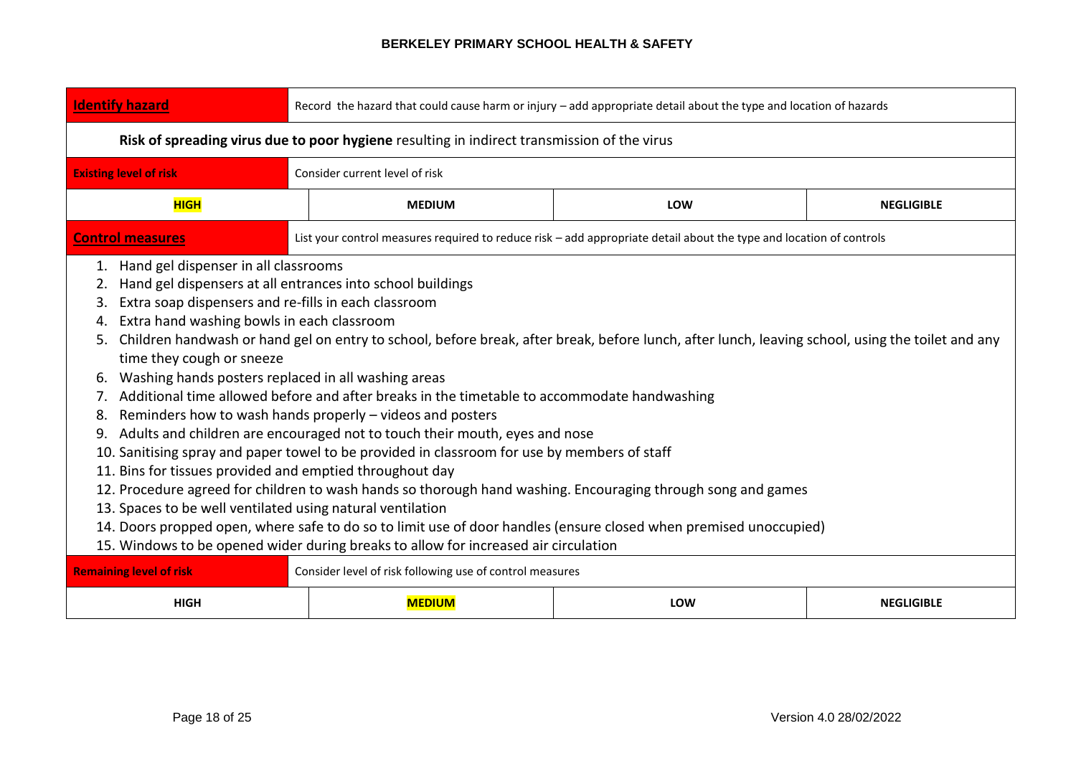| <b>Identify hazard</b>                                                                                | Record the hazard that could cause harm or injury - add appropriate detail about the type and location of hazards                                                                                                                                                                                                                                                                                                                                                                                                                                                                                                                                                                                                                                                                                                                                                                                                                                                                                                                                                                                                                                                                                                         |     |                   |  |  |  |
|-------------------------------------------------------------------------------------------------------|---------------------------------------------------------------------------------------------------------------------------------------------------------------------------------------------------------------------------------------------------------------------------------------------------------------------------------------------------------------------------------------------------------------------------------------------------------------------------------------------------------------------------------------------------------------------------------------------------------------------------------------------------------------------------------------------------------------------------------------------------------------------------------------------------------------------------------------------------------------------------------------------------------------------------------------------------------------------------------------------------------------------------------------------------------------------------------------------------------------------------------------------------------------------------------------------------------------------------|-----|-------------------|--|--|--|
| Risk of spreading virus due to poor hygiene resulting in indirect transmission of the virus           |                                                                                                                                                                                                                                                                                                                                                                                                                                                                                                                                                                                                                                                                                                                                                                                                                                                                                                                                                                                                                                                                                                                                                                                                                           |     |                   |  |  |  |
| <b>Existing level of risk</b>                                                                         | Consider current level of risk                                                                                                                                                                                                                                                                                                                                                                                                                                                                                                                                                                                                                                                                                                                                                                                                                                                                                                                                                                                                                                                                                                                                                                                            |     |                   |  |  |  |
| <b>HIGH</b>                                                                                           | <b>MEDIUM</b>                                                                                                                                                                                                                                                                                                                                                                                                                                                                                                                                                                                                                                                                                                                                                                                                                                                                                                                                                                                                                                                                                                                                                                                                             | LOW | <b>NEGLIGIBLE</b> |  |  |  |
| <b>Control measures</b>                                                                               | List your control measures required to reduce risk - add appropriate detail about the type and location of controls                                                                                                                                                                                                                                                                                                                                                                                                                                                                                                                                                                                                                                                                                                                                                                                                                                                                                                                                                                                                                                                                                                       |     |                   |  |  |  |
| 2.<br>3.<br>4.<br>5.<br>time they cough or sneeze<br>6.<br>7.<br>8.<br><b>Remaining level of risk</b> | 1. Hand gel dispenser in all classrooms<br>Hand gel dispensers at all entrances into school buildings<br>Extra soap dispensers and re-fills in each classroom<br>Extra hand washing bowls in each classroom<br>Children handwash or hand gel on entry to school, before break, after break, before lunch, after lunch, leaving school, using the toilet and any<br>Washing hands posters replaced in all washing areas<br>Additional time allowed before and after breaks in the timetable to accommodate handwashing<br>Reminders how to wash hands properly – videos and posters<br>9. Adults and children are encouraged not to touch their mouth, eyes and nose<br>10. Sanitising spray and paper towel to be provided in classroom for use by members of staff<br>11. Bins for tissues provided and emptied throughout day<br>12. Procedure agreed for children to wash hands so thorough hand washing. Encouraging through song and games<br>13. Spaces to be well ventilated using natural ventilation<br>14. Doors propped open, where safe to do so to limit use of door handles (ensure closed when premised unoccupied)<br>15. Windows to be opened wider during breaks to allow for increased air circulation |     |                   |  |  |  |
| <b>HIGH</b>                                                                                           | Consider level of risk following use of control measures<br><b>MEDIUM</b><br>LOW<br><b>NEGLIGIBLE</b>                                                                                                                                                                                                                                                                                                                                                                                                                                                                                                                                                                                                                                                                                                                                                                                                                                                                                                                                                                                                                                                                                                                     |     |                   |  |  |  |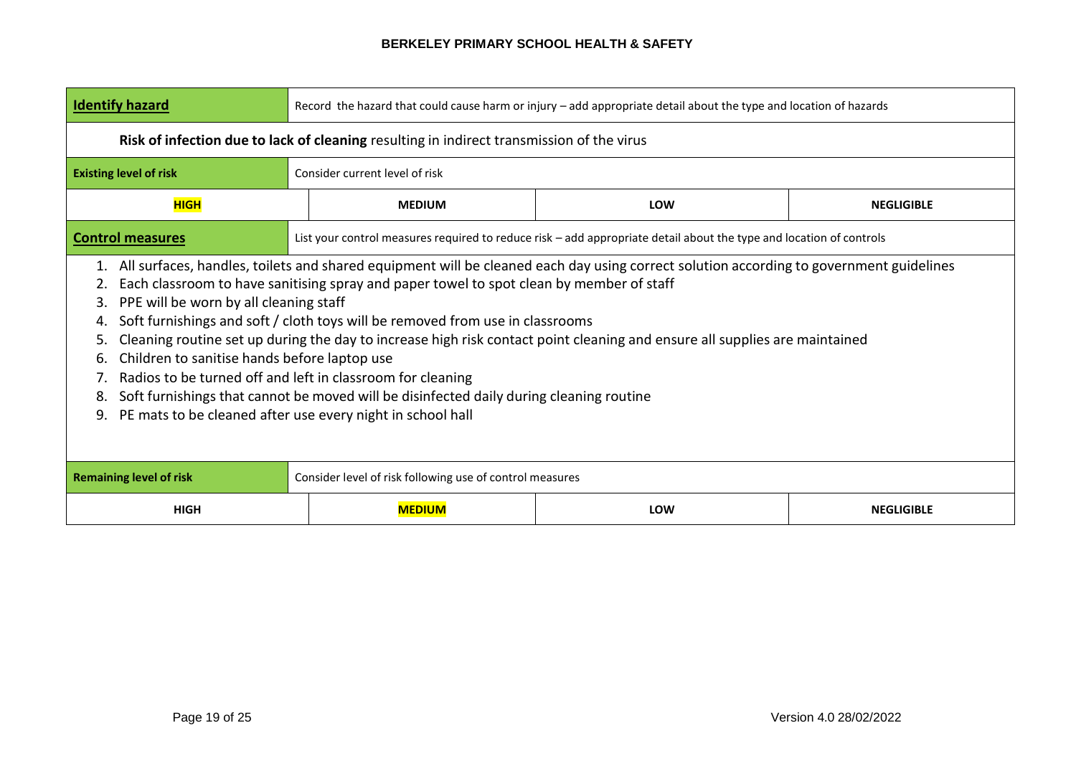| <b>Identify hazard</b>                                                                                                                                                                                                                                                                                                                                                                                                                                                                                                                                                                                                                                                                                                                                                                                          | Record the hazard that could cause harm or injury - add appropriate detail about the type and location of hazards |                                                                                                                     |                   |  |  |
|-----------------------------------------------------------------------------------------------------------------------------------------------------------------------------------------------------------------------------------------------------------------------------------------------------------------------------------------------------------------------------------------------------------------------------------------------------------------------------------------------------------------------------------------------------------------------------------------------------------------------------------------------------------------------------------------------------------------------------------------------------------------------------------------------------------------|-------------------------------------------------------------------------------------------------------------------|---------------------------------------------------------------------------------------------------------------------|-------------------|--|--|
|                                                                                                                                                                                                                                                                                                                                                                                                                                                                                                                                                                                                                                                                                                                                                                                                                 | Risk of infection due to lack of cleaning resulting in indirect transmission of the virus                         |                                                                                                                     |                   |  |  |
| <b>Existing level of risk</b>                                                                                                                                                                                                                                                                                                                                                                                                                                                                                                                                                                                                                                                                                                                                                                                   | Consider current level of risk                                                                                    |                                                                                                                     |                   |  |  |
| <b>HIGH</b>                                                                                                                                                                                                                                                                                                                                                                                                                                                                                                                                                                                                                                                                                                                                                                                                     | <b>MEDIUM</b>                                                                                                     | <b>LOW</b>                                                                                                          | <b>NEGLIGIBLE</b> |  |  |
| <b>Control measures</b>                                                                                                                                                                                                                                                                                                                                                                                                                                                                                                                                                                                                                                                                                                                                                                                         |                                                                                                                   | List your control measures required to reduce risk – add appropriate detail about the type and location of controls |                   |  |  |
| 1. All surfaces, handles, toilets and shared equipment will be cleaned each day using correct solution according to government guidelines<br>Each classroom to have sanitising spray and paper towel to spot clean by member of staff<br>2.<br>PPE will be worn by all cleaning staff<br>3.<br>Soft furnishings and soft / cloth toys will be removed from use in classrooms<br>4.<br>Cleaning routine set up during the day to increase high risk contact point cleaning and ensure all supplies are maintained<br>5.<br>Children to sanitise hands before laptop use<br>6.<br>Radios to be turned off and left in classroom for cleaning<br>Soft furnishings that cannot be moved will be disinfected daily during cleaning routine<br>8.<br>PE mats to be cleaned after use every night in school hall<br>9. |                                                                                                                   |                                                                                                                     |                   |  |  |
| <b>Remaining level of risk</b>                                                                                                                                                                                                                                                                                                                                                                                                                                                                                                                                                                                                                                                                                                                                                                                  | Consider level of risk following use of control measures                                                          |                                                                                                                     |                   |  |  |
| <b>HIGH</b>                                                                                                                                                                                                                                                                                                                                                                                                                                                                                                                                                                                                                                                                                                                                                                                                     | <b>MEDIUM</b>                                                                                                     | <b>LOW</b>                                                                                                          | <b>NEGLIGIBLE</b> |  |  |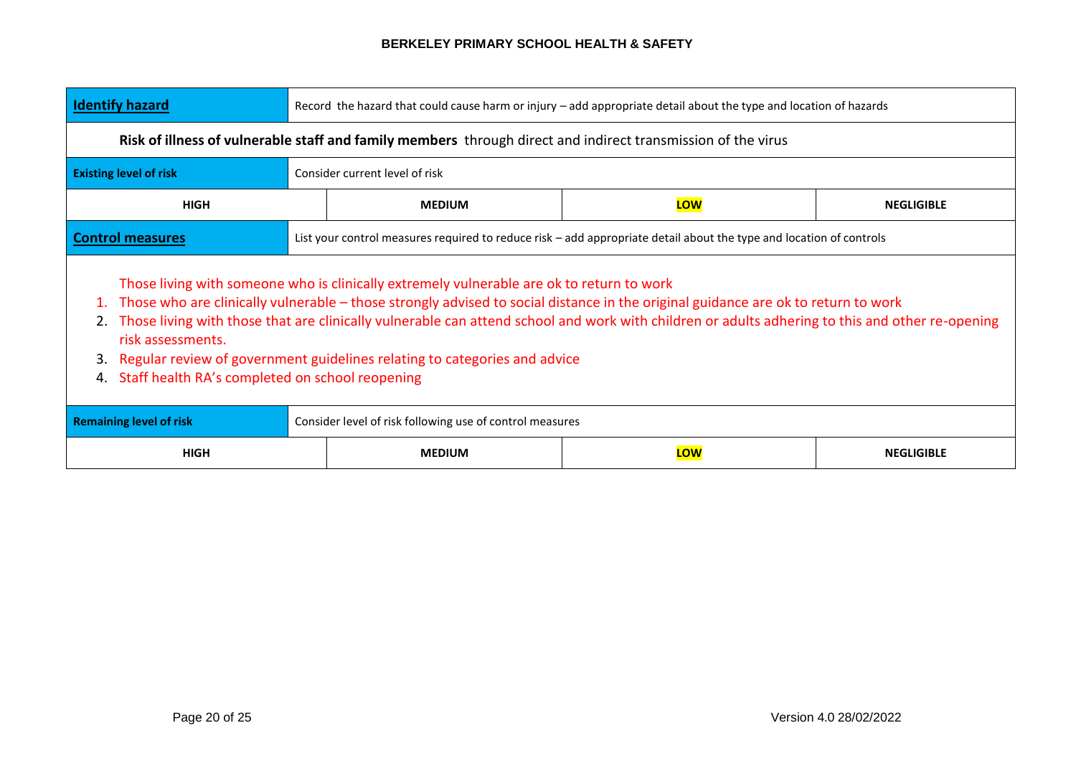| <b>Identify hazard</b>                                                                                                                                                                                                                                                                                                                                                                                                                                                                                                                             | Record the hazard that could cause harm or injury - add appropriate detail about the type and location of hazards |               |                                                                                                                     |                   |  |  |
|----------------------------------------------------------------------------------------------------------------------------------------------------------------------------------------------------------------------------------------------------------------------------------------------------------------------------------------------------------------------------------------------------------------------------------------------------------------------------------------------------------------------------------------------------|-------------------------------------------------------------------------------------------------------------------|---------------|---------------------------------------------------------------------------------------------------------------------|-------------------|--|--|
|                                                                                                                                                                                                                                                                                                                                                                                                                                                                                                                                                    | Risk of illness of vulnerable staff and family members through direct and indirect transmission of the virus      |               |                                                                                                                     |                   |  |  |
| <b>Existing level of risk</b>                                                                                                                                                                                                                                                                                                                                                                                                                                                                                                                      | Consider current level of risk                                                                                    |               |                                                                                                                     |                   |  |  |
| <b>HIGH</b>                                                                                                                                                                                                                                                                                                                                                                                                                                                                                                                                        |                                                                                                                   | <b>MEDIUM</b> | LOW                                                                                                                 | <b>NEGLIGIBLE</b> |  |  |
| <b>Control measures</b>                                                                                                                                                                                                                                                                                                                                                                                                                                                                                                                            |                                                                                                                   |               | List your control measures required to reduce risk – add appropriate detail about the type and location of controls |                   |  |  |
| Those living with someone who is clinically extremely vulnerable are ok to return to work<br>Those who are clinically vulnerable – those strongly advised to social distance in the original guidance are ok to return to work<br>Those living with those that are clinically vulnerable can attend school and work with children or adults adhering to this and other re-opening<br>risk assessments.<br>Regular review of government guidelines relating to categories and advice<br>3.<br>Staff health RA's completed on school reopening<br>4. |                                                                                                                   |               |                                                                                                                     |                   |  |  |
| Consider level of risk following use of control measures<br><b>Remaining level of risk</b>                                                                                                                                                                                                                                                                                                                                                                                                                                                         |                                                                                                                   |               |                                                                                                                     |                   |  |  |
| <b>HIGH</b>                                                                                                                                                                                                                                                                                                                                                                                                                                                                                                                                        | LOW<br><b>NEGLIGIBLE</b><br><b>MEDIUM</b>                                                                         |               |                                                                                                                     |                   |  |  |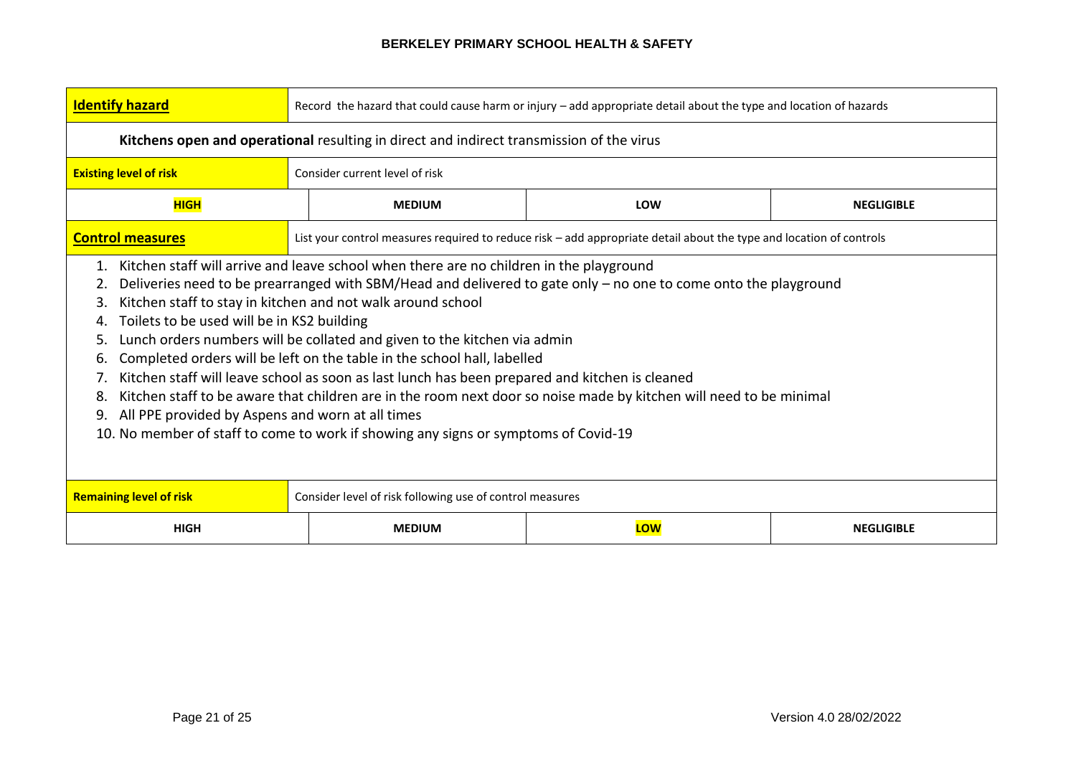| <b>Identify hazard</b>                                                                                                                                                                                                                                                                                                                                                                                                                                                                                                                                                                                                                                                                                                                                                                                                                                                                                  | Record the hazard that could cause harm or injury - add appropriate detail about the type and location of hazards |                                                                                                                     |                   |  |  |
|---------------------------------------------------------------------------------------------------------------------------------------------------------------------------------------------------------------------------------------------------------------------------------------------------------------------------------------------------------------------------------------------------------------------------------------------------------------------------------------------------------------------------------------------------------------------------------------------------------------------------------------------------------------------------------------------------------------------------------------------------------------------------------------------------------------------------------------------------------------------------------------------------------|-------------------------------------------------------------------------------------------------------------------|---------------------------------------------------------------------------------------------------------------------|-------------------|--|--|
|                                                                                                                                                                                                                                                                                                                                                                                                                                                                                                                                                                                                                                                                                                                                                                                                                                                                                                         | Kitchens open and operational resulting in direct and indirect transmission of the virus                          |                                                                                                                     |                   |  |  |
| <b>Existing level of risk</b>                                                                                                                                                                                                                                                                                                                                                                                                                                                                                                                                                                                                                                                                                                                                                                                                                                                                           | Consider current level of risk                                                                                    |                                                                                                                     |                   |  |  |
| <b>HIGH</b>                                                                                                                                                                                                                                                                                                                                                                                                                                                                                                                                                                                                                                                                                                                                                                                                                                                                                             | <b>MEDIUM</b>                                                                                                     | <b>LOW</b>                                                                                                          | <b>NEGLIGIBLE</b> |  |  |
| <b>Control measures</b>                                                                                                                                                                                                                                                                                                                                                                                                                                                                                                                                                                                                                                                                                                                                                                                                                                                                                 |                                                                                                                   | List your control measures required to reduce risk - add appropriate detail about the type and location of controls |                   |  |  |
| Kitchen staff will arrive and leave school when there are no children in the playground<br>1.<br>Deliveries need to be prearranged with SBM/Head and delivered to gate only - no one to come onto the playground<br>2.<br>Kitchen staff to stay in kitchen and not walk around school<br>3.<br>Toilets to be used will be in KS2 building<br>4.<br>Lunch orders numbers will be collated and given to the kitchen via admin<br>5.<br>Completed orders will be left on the table in the school hall, labelled<br>6.<br>Kitchen staff will leave school as soon as last lunch has been prepared and kitchen is cleaned<br>7.<br>Kitchen staff to be aware that children are in the room next door so noise made by kitchen will need to be minimal<br>8.<br>All PPE provided by Aspens and worn at all times<br>9.<br>10. No member of staff to come to work if showing any signs or symptoms of Covid-19 |                                                                                                                   |                                                                                                                     |                   |  |  |
| <b>Remaining level of risk</b>                                                                                                                                                                                                                                                                                                                                                                                                                                                                                                                                                                                                                                                                                                                                                                                                                                                                          | Consider level of risk following use of control measures                                                          |                                                                                                                     |                   |  |  |
| <b>HIGH</b>                                                                                                                                                                                                                                                                                                                                                                                                                                                                                                                                                                                                                                                                                                                                                                                                                                                                                             | <b>MEDIUM</b>                                                                                                     | LOW                                                                                                                 | <b>NEGLIGIBLE</b> |  |  |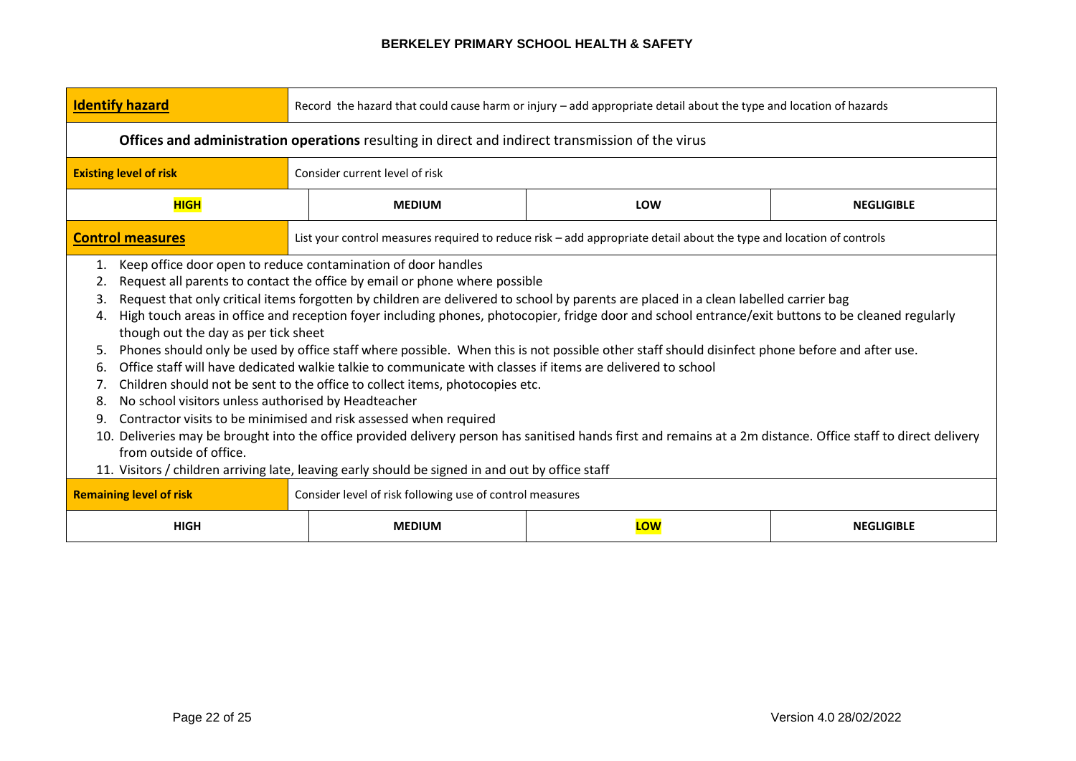| <b>Identify hazard</b>                                                                                                                                                                                                                                                                                                                                                                                                                                                                                                                                                                                                                                                                                                                                                                                                                                                                                                                                                                                                                                                                                                                                                                                                                                                                                               | Record the hazard that could cause harm or injury - add appropriate detail about the type and location of hazards |                                                                                                                     |                   |  |  |  |
|----------------------------------------------------------------------------------------------------------------------------------------------------------------------------------------------------------------------------------------------------------------------------------------------------------------------------------------------------------------------------------------------------------------------------------------------------------------------------------------------------------------------------------------------------------------------------------------------------------------------------------------------------------------------------------------------------------------------------------------------------------------------------------------------------------------------------------------------------------------------------------------------------------------------------------------------------------------------------------------------------------------------------------------------------------------------------------------------------------------------------------------------------------------------------------------------------------------------------------------------------------------------------------------------------------------------|-------------------------------------------------------------------------------------------------------------------|---------------------------------------------------------------------------------------------------------------------|-------------------|--|--|--|
|                                                                                                                                                                                                                                                                                                                                                                                                                                                                                                                                                                                                                                                                                                                                                                                                                                                                                                                                                                                                                                                                                                                                                                                                                                                                                                                      | <b>Offices and administration operations</b> resulting in direct and indirect transmission of the virus           |                                                                                                                     |                   |  |  |  |
| <b>Existing level of risk</b>                                                                                                                                                                                                                                                                                                                                                                                                                                                                                                                                                                                                                                                                                                                                                                                                                                                                                                                                                                                                                                                                                                                                                                                                                                                                                        | Consider current level of risk                                                                                    |                                                                                                                     |                   |  |  |  |
| <b>HIGH</b>                                                                                                                                                                                                                                                                                                                                                                                                                                                                                                                                                                                                                                                                                                                                                                                                                                                                                                                                                                                                                                                                                                                                                                                                                                                                                                          | <b>MEDIUM</b>                                                                                                     | LOW                                                                                                                 | <b>NEGLIGIBLE</b> |  |  |  |
| <b>Control measures</b>                                                                                                                                                                                                                                                                                                                                                                                                                                                                                                                                                                                                                                                                                                                                                                                                                                                                                                                                                                                                                                                                                                                                                                                                                                                                                              |                                                                                                                   | List your control measures required to reduce risk - add appropriate detail about the type and location of controls |                   |  |  |  |
| Keep office door open to reduce contamination of door handles<br>1.<br>Request all parents to contact the office by email or phone where possible<br>2.<br>Request that only critical items forgotten by children are delivered to school by parents are placed in a clean labelled carrier bag<br>3.<br>High touch areas in office and reception foyer including phones, photocopier, fridge door and school entrance/exit buttons to be cleaned regularly<br>4.<br>though out the day as per tick sheet<br>Phones should only be used by office staff where possible. When this is not possible other staff should disinfect phone before and after use.<br>5.<br>Office staff will have dedicated walkie talkie to communicate with classes if items are delivered to school<br>6.<br>Children should not be sent to the office to collect items, photocopies etc.<br>7.<br>No school visitors unless authorised by Headteacher<br>8.<br>Contractor visits to be minimised and risk assessed when required<br>9.<br>10. Deliveries may be brought into the office provided delivery person has sanitised hands first and remains at a 2m distance. Office staff to direct delivery<br>from outside of office.<br>11. Visitors / children arriving late, leaving early should be signed in and out by office staff |                                                                                                                   |                                                                                                                     |                   |  |  |  |
| <b>Remaining level of risk</b><br><b>HIGH</b>                                                                                                                                                                                                                                                                                                                                                                                                                                                                                                                                                                                                                                                                                                                                                                                                                                                                                                                                                                                                                                                                                                                                                                                                                                                                        | Consider level of risk following use of control measures<br><b>MEDIUM</b><br>LOW<br><b>NEGLIGIBLE</b>             |                                                                                                                     |                   |  |  |  |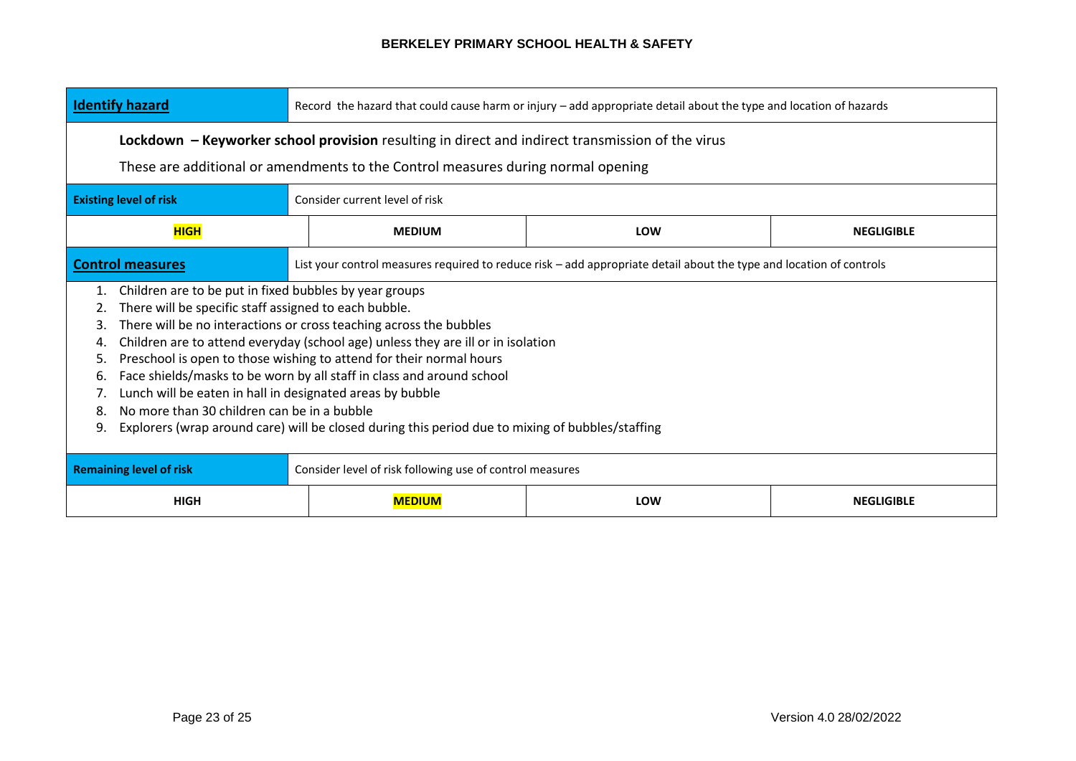| <b>Identify hazard</b>                                                                                                                                                                                                                                                                                                                                                                                                                                                                                                                                                                                                                                                                    | Record the hazard that could cause harm or injury - add appropriate detail about the type and location of hazards |                                                                                                                     |  |  |  |
|-------------------------------------------------------------------------------------------------------------------------------------------------------------------------------------------------------------------------------------------------------------------------------------------------------------------------------------------------------------------------------------------------------------------------------------------------------------------------------------------------------------------------------------------------------------------------------------------------------------------------------------------------------------------------------------------|-------------------------------------------------------------------------------------------------------------------|---------------------------------------------------------------------------------------------------------------------|--|--|--|
|                                                                                                                                                                                                                                                                                                                                                                                                                                                                                                                                                                                                                                                                                           | Lockdown – Keyworker school provision resulting in direct and indirect transmission of the virus                  |                                                                                                                     |  |  |  |
|                                                                                                                                                                                                                                                                                                                                                                                                                                                                                                                                                                                                                                                                                           | These are additional or amendments to the Control measures during normal opening                                  |                                                                                                                     |  |  |  |
| <b>Existing level of risk</b>                                                                                                                                                                                                                                                                                                                                                                                                                                                                                                                                                                                                                                                             | Consider current level of risk                                                                                    |                                                                                                                     |  |  |  |
| <b>HIGH</b>                                                                                                                                                                                                                                                                                                                                                                                                                                                                                                                                                                                                                                                                               | <b>MEDIUM</b><br><b>LOW</b><br><b>NEGLIGIBLE</b>                                                                  |                                                                                                                     |  |  |  |
| <b>Control measures</b>                                                                                                                                                                                                                                                                                                                                                                                                                                                                                                                                                                                                                                                                   |                                                                                                                   | List your control measures required to reduce risk - add appropriate detail about the type and location of controls |  |  |  |
| Children are to be put in fixed bubbles by year groups<br>1.<br>There will be specific staff assigned to each bubble.<br>There will be no interactions or cross teaching across the bubbles<br>3.<br>Children are to attend everyday (school age) unless they are ill or in isolation<br>4.<br>Preschool is open to those wishing to attend for their normal hours<br>5.<br>Face shields/masks to be worn by all staff in class and around school<br>6.<br>Lunch will be eaten in hall in designated areas by bubble<br>7.<br>No more than 30 children can be in a bubble<br>8.<br>Explorers (wrap around care) will be closed during this period due to mixing of bubbles/staffing<br>9. |                                                                                                                   |                                                                                                                     |  |  |  |
| <b>Remaining level of risk</b>                                                                                                                                                                                                                                                                                                                                                                                                                                                                                                                                                                                                                                                            | Consider level of risk following use of control measures                                                          |                                                                                                                     |  |  |  |
| <b>HIGH</b>                                                                                                                                                                                                                                                                                                                                                                                                                                                                                                                                                                                                                                                                               | <b>MEDIUM</b><br><b>LOW</b><br><b>NEGLIGIBLE</b>                                                                  |                                                                                                                     |  |  |  |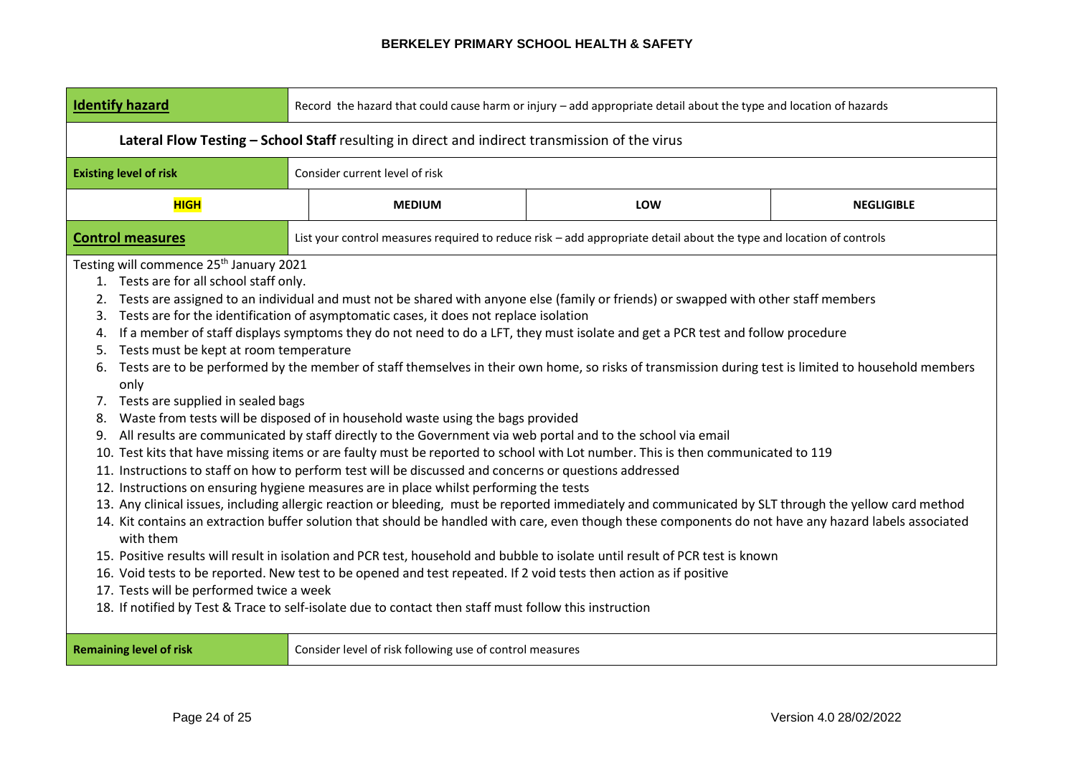| <b>Identify hazard</b>                                                                                                                                                                                                                                                                      | Record the hazard that could cause harm or injury - add appropriate detail about the type and location of hazards |                                                                                                                                                                                                                                                                                                                                                                                                                                                                                                                                                                                                                                                                                                                             |                                                                                                                                                                                                                                                                                                                                                                                                                                                                                                                                                                                                                                                                                                                                                                                                                                                                                                                                                                                                                      |                   |  |  |
|---------------------------------------------------------------------------------------------------------------------------------------------------------------------------------------------------------------------------------------------------------------------------------------------|-------------------------------------------------------------------------------------------------------------------|-----------------------------------------------------------------------------------------------------------------------------------------------------------------------------------------------------------------------------------------------------------------------------------------------------------------------------------------------------------------------------------------------------------------------------------------------------------------------------------------------------------------------------------------------------------------------------------------------------------------------------------------------------------------------------------------------------------------------------|----------------------------------------------------------------------------------------------------------------------------------------------------------------------------------------------------------------------------------------------------------------------------------------------------------------------------------------------------------------------------------------------------------------------------------------------------------------------------------------------------------------------------------------------------------------------------------------------------------------------------------------------------------------------------------------------------------------------------------------------------------------------------------------------------------------------------------------------------------------------------------------------------------------------------------------------------------------------------------------------------------------------|-------------------|--|--|
|                                                                                                                                                                                                                                                                                             | Lateral Flow Testing - School Staff resulting in direct and indirect transmission of the virus                    |                                                                                                                                                                                                                                                                                                                                                                                                                                                                                                                                                                                                                                                                                                                             |                                                                                                                                                                                                                                                                                                                                                                                                                                                                                                                                                                                                                                                                                                                                                                                                                                                                                                                                                                                                                      |                   |  |  |
| <b>Existing level of risk</b>                                                                                                                                                                                                                                                               |                                                                                                                   | Consider current level of risk                                                                                                                                                                                                                                                                                                                                                                                                                                                                                                                                                                                                                                                                                              |                                                                                                                                                                                                                                                                                                                                                                                                                                                                                                                                                                                                                                                                                                                                                                                                                                                                                                                                                                                                                      |                   |  |  |
| <b>HIGH</b>                                                                                                                                                                                                                                                                                 |                                                                                                                   | <b>MEDIUM</b>                                                                                                                                                                                                                                                                                                                                                                                                                                                                                                                                                                                                                                                                                                               | LOW                                                                                                                                                                                                                                                                                                                                                                                                                                                                                                                                                                                                                                                                                                                                                                                                                                                                                                                                                                                                                  | <b>NEGLIGIBLE</b> |  |  |
| <b>Control measures</b>                                                                                                                                                                                                                                                                     |                                                                                                                   |                                                                                                                                                                                                                                                                                                                                                                                                                                                                                                                                                                                                                                                                                                                             | List your control measures required to reduce risk - add appropriate detail about the type and location of controls                                                                                                                                                                                                                                                                                                                                                                                                                                                                                                                                                                                                                                                                                                                                                                                                                                                                                                  |                   |  |  |
| Testing will commence 25 <sup>th</sup> January 2021<br>1. Tests are for all school staff only.<br>2.<br>3.<br>4.<br>Tests must be kept at room temperature<br>5.<br>6.<br>only<br>7. Tests are supplied in sealed bags<br>8.<br>9.<br>with them<br>17. Tests will be performed twice a week |                                                                                                                   | Tests are for the identification of asymptomatic cases, it does not replace isolation<br>Waste from tests will be disposed of in household waste using the bags provided<br>All results are communicated by staff directly to the Government via web portal and to the school via email<br>11. Instructions to staff on how to perform test will be discussed and concerns or questions addressed<br>12. Instructions on ensuring hygiene measures are in place whilst performing the tests<br>16. Void tests to be reported. New test to be opened and test repeated. If 2 void tests then action as if positive<br>18. If notified by Test & Trace to self-isolate due to contact then staff must follow this instruction | Tests are assigned to an individual and must not be shared with anyone else (family or friends) or swapped with other staff members<br>If a member of staff displays symptoms they do not need to do a LFT, they must isolate and get a PCR test and follow procedure<br>Tests are to be performed by the member of staff themselves in their own home, so risks of transmission during test is limited to household members<br>10. Test kits that have missing items or are faulty must be reported to school with Lot number. This is then communicated to 119<br>13. Any clinical issues, including allergic reaction or bleeding, must be reported immediately and communicated by SLT through the yellow card method<br>14. Kit contains an extraction buffer solution that should be handled with care, even though these components do not have any hazard labels associated<br>15. Positive results will result in isolation and PCR test, household and bubble to isolate until result of PCR test is known |                   |  |  |
| <b>Remaining level of risk</b>                                                                                                                                                                                                                                                              |                                                                                                                   | Consider level of risk following use of control measures                                                                                                                                                                                                                                                                                                                                                                                                                                                                                                                                                                                                                                                                    |                                                                                                                                                                                                                                                                                                                                                                                                                                                                                                                                                                                                                                                                                                                                                                                                                                                                                                                                                                                                                      |                   |  |  |